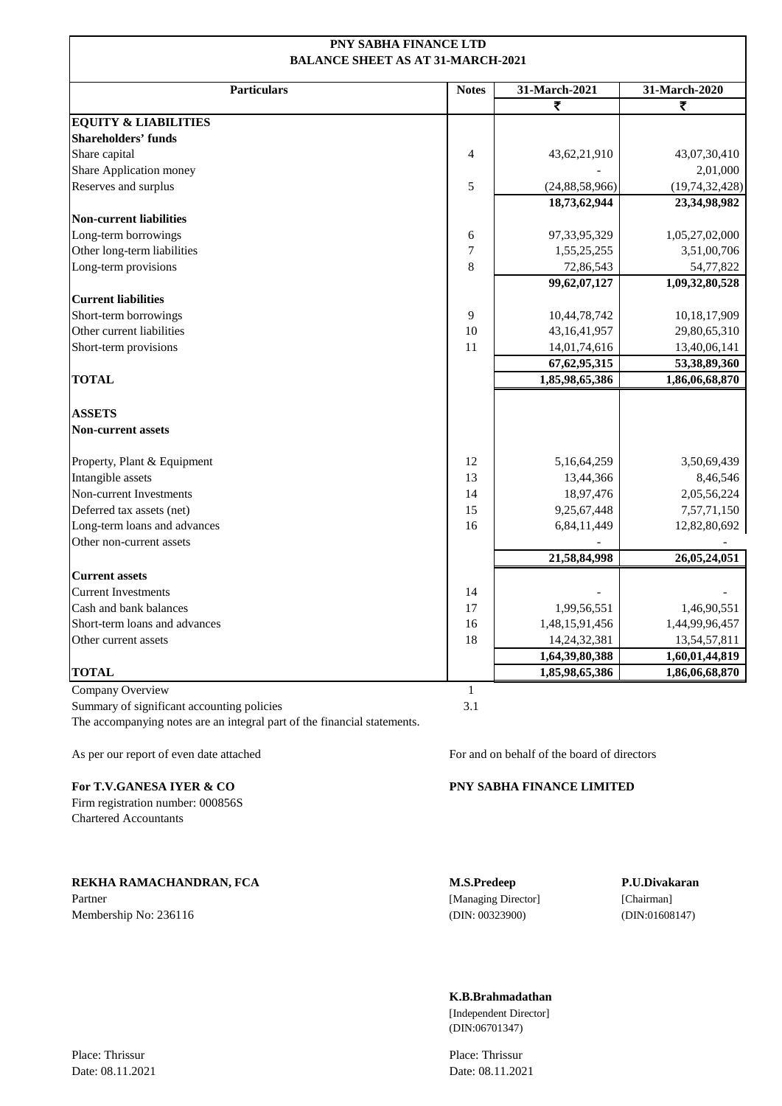### **PNY SABHA FINANCE LTD BALANCE SHEET AS AT 31-MARCH-2021**

| <b>Particulars</b>              | <b>Notes</b> | 31-March-2021     | 31-March-2020     |
|---------------------------------|--------------|-------------------|-------------------|
|                                 |              | ₹                 | ₹                 |
| <b>EQUITY &amp; LIABILITIES</b> |              |                   |                   |
| <b>Shareholders' funds</b>      |              |                   |                   |
| Share capital                   | 4            | 43,62,21,910      | 43,07,30,410      |
| Share Application money         |              |                   | 2,01,000          |
| Reserves and surplus            | 5            | (24, 88, 58, 966) | (19, 74, 32, 428) |
|                                 |              | 18,73,62,944      | 23,34,98,982      |
| <b>Non-current liabilities</b>  |              |                   |                   |
| Long-term borrowings            | 6            | 97,33,95,329      | 1,05,27,02,000    |
| Other long-term liabilities     | $\tau$       | 1,55,25,255       | 3,51,00,706       |
| Long-term provisions            | 8            | 72,86,543         | 54,77,822         |
|                                 |              | 99,62,07,127      | 1,09,32,80,528    |
| <b>Current liabilities</b>      |              |                   |                   |
| Short-term borrowings           | 9            | 10,44,78,742      | 10,18,17,909      |
| Other current liabilities       | 10           | 43, 16, 41, 957   | 29,80,65,310      |
| Short-term provisions           | 11           | 14,01,74,616      | 13,40,06,141      |
|                                 |              | 67, 62, 95, 315   | 53,38,89,360      |
| <b>TOTAL</b>                    |              | 1,85,98,65,386    | 1,86,06,68,870    |
| <b>ASSETS</b>                   |              |                   |                   |
| <b>Non-current assets</b>       |              |                   |                   |
| Property, Plant & Equipment     | 12           | 5,16,64,259       | 3,50,69,439       |
| Intangible assets               | 13           | 13,44,366         | 8,46,546          |
| Non-current Investments         | 14           | 18,97,476         | 2,05,56,224       |
| Deferred tax assets (net)       | 15           | 9,25,67,448       | 7,57,71,150       |
| Long-term loans and advances    | 16           | 6,84,11,449       | 12,82,80,692      |
| Other non-current assets        |              |                   |                   |
|                                 |              | 21,58,84,998      | 26,05,24,051      |
| <b>Current assets</b>           |              |                   |                   |
| <b>Current Investments</b>      | 14           |                   |                   |
| Cash and bank balances          | 17           | 1,99,56,551       | 1,46,90,551       |
| Short-term loans and advances   | 16           | 1,48,15,91,456    | 1,44,99,96,457    |
| Other current assets            | 18           | 14,24,32,381      | 13,54,57,811      |
|                                 |              | 1,64,39,80,388    | 1,60,01,44,819    |
| <b>TOTAL</b>                    |              | 1,85,98,65,386    | 1,86,06,68,870    |

Company Overview 1 Summary of significant accounting policies 3.1 The accompanying notes are an integral part of the financial statements.

Firm registration number: 000856S Chartered Accountants

**REKHA RAMACHANDRAN, FCA M.S.Predeep P.U.Divakaran** Partner [Managing Director] [Chairman] [Chairman]

As per our report of even date attached For and on behalf of the board of directors

### **For T.V.GANESA IYER & CO PNY SABHA FINANCE LIMITED**

Membership No: 236116 (DIN: 00323900) (DIN: 00323900) (DIN: 01608147)

### **K.B.Brahmadathan**

[Independent Director] (DIN:06701347)

Date: 08.11.2021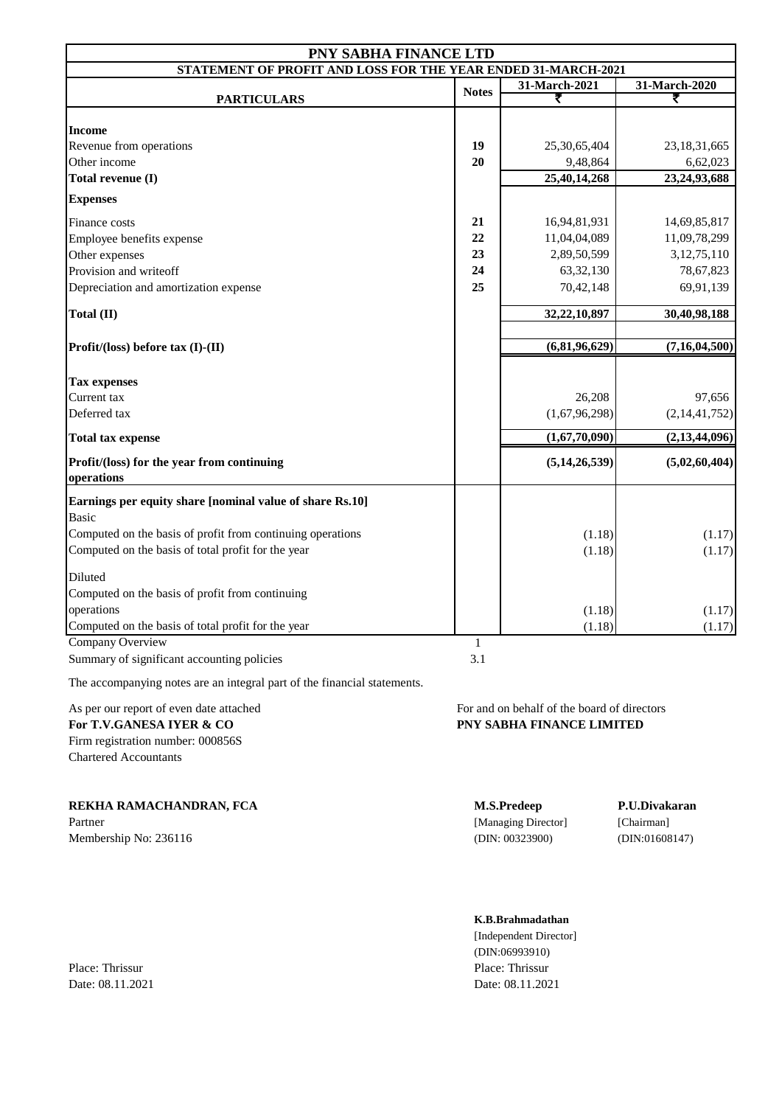| PNY SABHA FINANCE LTD                                         |              |                  |                  |
|---------------------------------------------------------------|--------------|------------------|------------------|
| STATEMENT OF PROFIT AND LOSS FOR THE YEAR ENDED 31-MARCH-2021 |              |                  |                  |
|                                                               | <b>Notes</b> | 31-March-2021    | 31-March-2020    |
| <b>PARTICULARS</b>                                            |              | ₹                | ₹                |
| <b>Income</b>                                                 |              |                  |                  |
| Revenue from operations                                       | 19           | 25,30,65,404     | 23, 18, 31, 665  |
| Other income                                                  | 20           | 9,48,864         | 6,62,023         |
| Total revenue (I)                                             |              | 25,40,14,268     | 23, 24, 93, 688  |
| <b>Expenses</b>                                               |              |                  |                  |
| Finance costs                                                 | 21           | 16,94,81,931     | 14,69,85,817     |
| Employee benefits expense                                     | 22           | 11,04,04,089     | 11,09,78,299     |
| Other expenses                                                | 23           | 2,89,50,599      | 3, 12, 75, 110   |
| Provision and writeoff                                        | 24           | 63, 32, 130      | 78,67,823        |
| Depreciation and amortization expense                         | 25           | 70,42,148        | 69,91,139        |
| Total (II)                                                    |              | 32,22,10,897     | 30,40,98,188     |
|                                                               |              |                  |                  |
| Profit/(loss) before tax (I)-(II)                             |              | (6,81,96,629)    | (7, 16, 04, 500) |
|                                                               |              |                  |                  |
| <b>Tax expenses</b>                                           |              |                  |                  |
| Current tax                                                   |              | 26,208           | 97,656           |
| Deferred tax                                                  |              | (1,67,96,298)    | (2,14,41,752)    |
| <b>Total tax expense</b>                                      |              | (1,67,70,090)    | (2,13,44,096)    |
| Profit/(loss) for the year from continuing<br>operations      |              | (5, 14, 26, 539) | (5,02,60,404)    |
| Earnings per equity share [nominal value of share Rs.10]      |              |                  |                  |
| <b>Basic</b>                                                  |              |                  |                  |
| Computed on the basis of profit from continuing operations    |              | (1.18)           | (1.17)           |
| Computed on the basis of total profit for the year            |              | (1.18)           | (1.17)           |
| Diluted                                                       |              |                  |                  |
| Computed on the basis of profit from continuing               |              |                  |                  |
| operations                                                    |              | (1.18)           | (1.17)           |
| Computed on the basis of total profit for the year            |              | (1.18)           | (1.17)           |
| <b>Company Overview</b>                                       | 1            |                  |                  |
| Summary of significant accounting policies                    | 3.1          |                  |                  |

The accompanying notes are an integral part of the financial statements.

For T.V.GANESA IYER & CO **PNY SABHA FINANCE LIMITED** Firm registration number: 000856S Chartered Accountants

**REKHA RAMACHANDRAN, FCA M.S.Predeep P.U.Divakaran**

Membership No: 236116 (DIN: 00323900) (DIN: 00323900) (DIN: 01608147)

As per our report of even date attached For and on behalf of the board of directors

Partner [Managing Director] [Chairman]

### **K.B.Brahmadathan**

[Independent Director] (DIN:06993910) Place: Thrissur Place: Thrissur Date: 08.11.2021 Date: 08.11.2021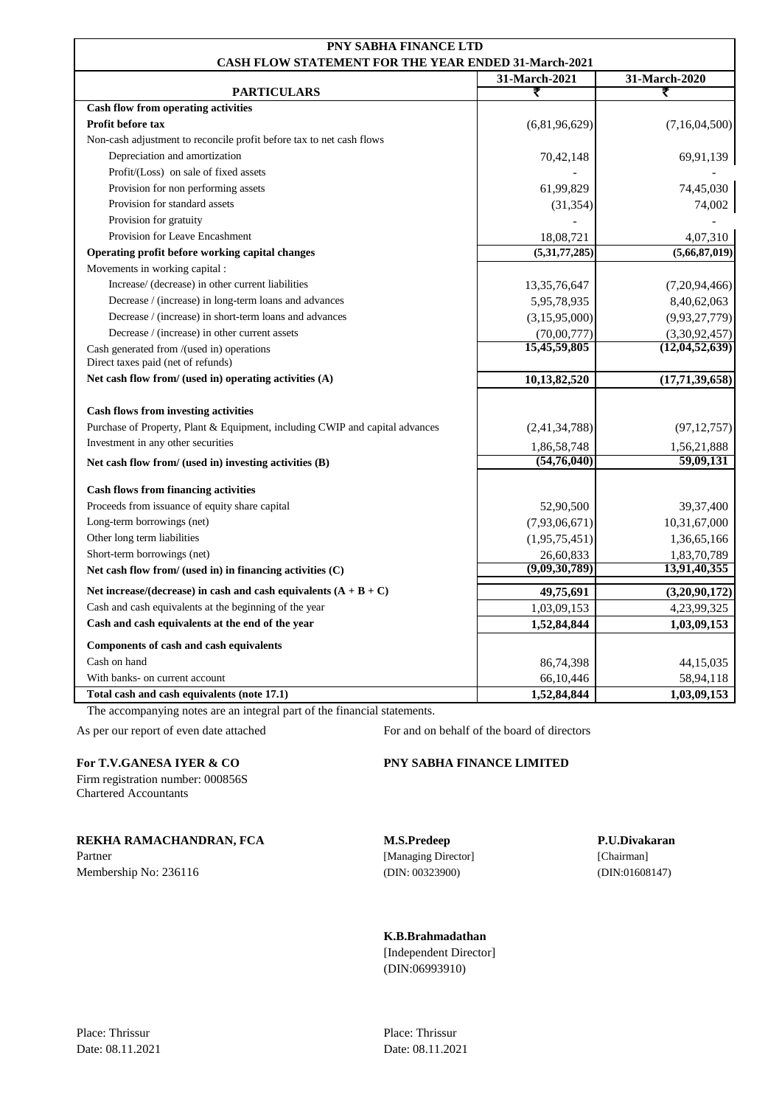| PNY SABHA FINANCE LTD                                                           |               |                    |  |
|---------------------------------------------------------------------------------|---------------|--------------------|--|
| <b>CASH FLOW STATEMENT FOR THE YEAR ENDED 31-March-2021</b>                     |               |                    |  |
|                                                                                 | 31-March-2021 | 31-March-2020<br>₹ |  |
| <b>PARTICULARS</b><br>Cash flow from operating activities                       | ₹             |                    |  |
| <b>Profit before tax</b>                                                        | (6,81,96,629) | (7,16,04,500)      |  |
| Non-cash adjustment to reconcile profit before tax to net cash flows            |               |                    |  |
| Depreciation and amortization                                                   |               |                    |  |
| Profit/(Loss) on sale of fixed assets                                           | 70,42,148     | 69,91,139          |  |
| Provision for non performing assets                                             | 61,99,829     | 74,45,030          |  |
| Provision for standard assets                                                   |               |                    |  |
|                                                                                 | (31, 354)     | 74,002             |  |
| Provision for gratuity<br>Provision for Leave Encashment                        |               |                    |  |
|                                                                                 | 18,08,721     | 4,07,310           |  |
| Operating profit before working capital changes                                 | (5,31,77,285) | (5,66,87,019)      |  |
| Movements in working capital :                                                  |               |                    |  |
| Increase/ (decrease) in other current liabilities                               | 13,35,76,647  | (7,20,94,466)      |  |
| Decrease / (increase) in long-term loans and advances                           | 5,95,78,935   | 8,40,62,063        |  |
| Decrease / (increase) in short-term loans and advances                          | (3,15,95,000) | (9,93,27,779)      |  |
| Decrease / (increase) in other current assets                                   | (70,00,777)   | (3,30,92,457)      |  |
| Cash generated from /(used in) operations<br>Direct taxes paid (net of refunds) | 15,45,59,805  | (12, 04, 52, 639)  |  |
| Net cash flow from/ (used in) operating activities (A)                          | 10,13,82,520  | (17,71,39,658)     |  |
| <b>Cash flows from investing activities</b>                                     |               |                    |  |
| Purchase of Property, Plant & Equipment, including CWIP and capital advances    | (2,41,34,788) | (97, 12, 757)      |  |
| Investment in any other securities                                              | 1,86,58,748   | 1,56,21,888        |  |
| Net cash flow from/ (used in) investing activities $(B)$                        | (54,76,040)   | 59,09,131          |  |
| <b>Cash flows from financing activities</b>                                     |               |                    |  |
| Proceeds from issuance of equity share capital                                  | 52,90,500     | 39, 37, 400        |  |
| Long-term borrowings (net)                                                      | (7,93,06,671) | 10,31,67,000       |  |
| Other long term liabilities                                                     | (1,95,75,451) | 1,36,65,166        |  |
| Short-term borrowings (net)                                                     | 26,60,833     | 1,83,70,789        |  |
| Net cash flow from/ (used in) in financing activities $(C)$                     | (9,09,30,789) | 13,91,40,355       |  |
|                                                                                 |               |                    |  |
| Net increase/(decrease) in cash and cash equivalents $(A + B + C)$              | 49,75,691     | (3,20,90,172)      |  |
| Cash and cash equivalents at the beginning of the year                          | 1,03,09,153   | 4,23,99,325        |  |
| Cash and cash equivalents at the end of the year                                | 1,52,84,844   | 1,03,09,153        |  |
| Components of cash and cash equivalents                                         |               |                    |  |
| Cash on hand                                                                    | 86,74,398     | 44,15,035          |  |
| With banks- on current account                                                  | 66,10,446     | 58,94,118          |  |
| Total cash and cash equivalents (note 17.1)                                     | 1,52,84,844   | 1,03,09,153        |  |

The accompanying notes are an integral part of the financial statements.

Firm registration number: 000856S Chartered Accountants

**REKHA RAMACHANDRAN, FCA M.S.Predeep P.U.Divakaran**

Partner [Managing Director] [Chairman] Membership No: 236116 (DIN: 00323900) (DIN: 00323900) (DIN: 01608147)

As per our report of even date attached For and on behalf of the board of directors

### **For T.V.GANESA IYER & CO PNY SABHA FINANCE LIMITED**

**K.B.Brahmadathan**

[Independent Director] (DIN:06993910)

Date: 08.11.2021 Date: 08.11.2021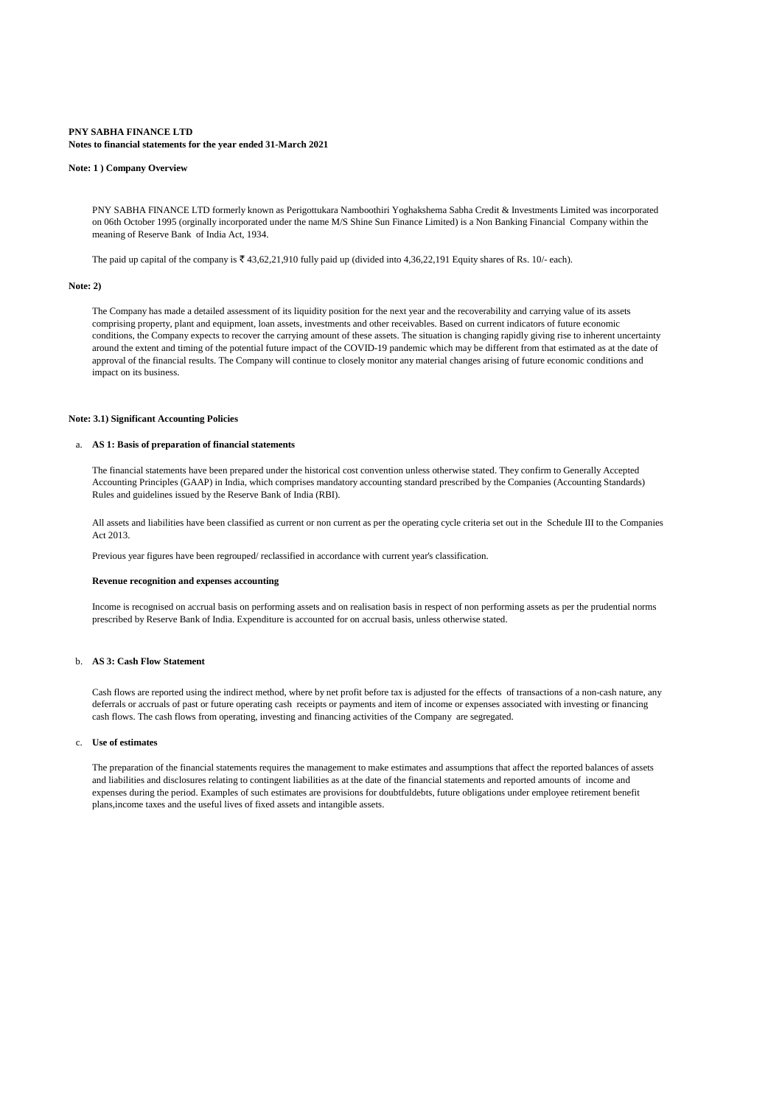#### **PNY SABHA FINANCE LTD Notes to financial statements for the year ended 31-March 2021**

#### **Note: 1 ) Company Overview**

PNY SABHA FINANCE LTD formerly known as Perigottukara Namboothiri Yoghakshema Sabha Credit & Investments Limited was incorporated on 06th October 1995 (orginally incorporated under the name M/S Shine Sun Finance Limited) is a Non Banking Financial Company within the meaning of Reserve Bank of India Act, 1934.

The paid up capital of the company is  $\overline{\mathfrak{e}}$  43,62,21,910 fully paid up (divided into 4,36,22,191 Equity shares of Rs. 10/- each).

#### **Note: 2)**

The Company has made a detailed assessment of its liquidity position for the next year and the recoverability and carrying value of its assets comprising property, plant and equipment, loan assets, investments and other receivables. Based on current indicators of future economic conditions, the Company expects to recover the carrying amount of these assets. The situation is changing rapidly giving rise to inherent uncertainty around the extent and timing of the potential future impact of the COVID-19 pandemic which may be different from that estimated as at the date of approval of the financial results. The Company will continue to closely monitor any material changes arising of future economic conditions and impact on its business.

#### **Note: 3.1) Significant Accounting Policies**

#### a. **AS 1: Basis of preparation of financial statements**

The financial statements have been prepared under the historical cost convention unless otherwise stated. They confirm to Generally Accepted Accounting Principles (GAAP) in India, which comprises mandatory accounting standard prescribed by the Companies (Accounting Standards) Rules and guidelines issued by the Reserve Bank of India (RBI).

All assets and liabilities have been classified as current or non current as per the operating cycle criteria set out in the Schedule III to the Companies Act 2013.

Previous year figures have been regrouped/ reclassified in accordance with current year's classification.

#### **Revenue recognition and expenses accounting**

Income is recognised on accrual basis on performing assets and on realisation basis in respect of non performing assets as per the prudential norms prescribed by Reserve Bank of India. Expenditure is accounted for on accrual basis, unless otherwise stated.

### b. **AS 3: Cash Flow Statement**

Cash flows are reported using the indirect method, where by net profit before tax is adjusted for the effects of transactions of a non-cash nature, any deferrals or accruals of past or future operating cash receipts or payments and item of income or expenses associated with investing or financing cash flows. The cash flows from operating, investing and financing activities of the Company are segregated.

### c. **Use of estimates**

The preparation of the financial statements requires the management to make estimates and assumptions that affect the reported balances of assets and liabilities and disclosures relating to contingent liabilities as at the date of the financial statements and reported amounts of income and expenses during the period. Examples of such estimates are provisions for doubtfuldebts, future obligations under employee retirement benefit plans,income taxes and the useful lives of fixed assets and intangible assets.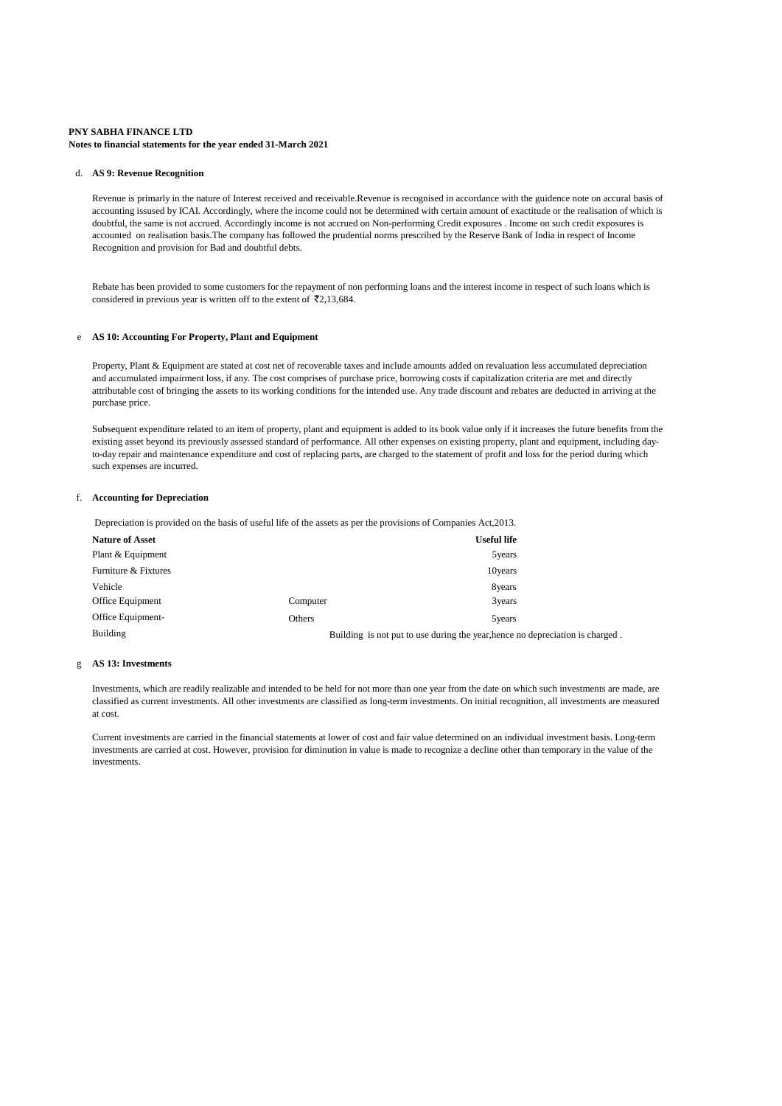#### **PNY SABHA FINANCE LTD Notes to financial statements for the year ended 31-March 2021**

#### d. **AS 9: Revenue Recognition**

Revenue is primarly in the nature of Interest received and receivable.Revenue is recognised in accordance with the guidence note on accural basis of accounting issused by ICAI. Accordingly, where the income could not be determined with certain amount of exactitude or the realisation of which is doubtful, the same is not accrued. Accordingly income is not accrued on Non-performing Credit exposures . Income on such credit exposures is accounted on realisation basis.The company has followed the prudential norms prescribed by the Reserve Bank of India in respect of Income Recognition and provision for Bad and doubtful debts.

Rebate has been provided to some customers for the repayment of non performing loans and the interest income in respect of such loans which is considered in previous year is written off to the extent of  $\bar{\mathcal{F}}2,13,684$ .

### e **AS 10: Accounting For Property, Plant and Equipment**

Property, Plant & Equipment are stated at cost net of recoverable taxes and include amounts added on revaluation less accumulated depreciation and accumulated impairment loss, if any. The cost comprises of purchase price, borrowing costs if capitalization criteria are met and directly attributable cost of bringing the assets to its working conditions for the intended use. Any trade discount and rebates are deducted in arriving at the purchase price.

Subsequent expenditure related to an item of property, plant and equipment is added to its book value only if it increases the future benefits from the existing asset beyond its previously assessed standard of performance. All other expenses on existing property, plant and equipment, including dayto-day repair and maintenance expenditure and cost of replacing parts, are charged to the statement of profit and loss for the period during which such expenses are incurred.

### f. **Accounting for Depreciation**

Depreciation is provided on the basis of useful life of the assets as per the provisions of Companies Act,2013.

| <b>Nature of Asset</b> |          | <b>Useful life</b>                                                            |
|------------------------|----------|-------------------------------------------------------------------------------|
| Plant & Equipment      |          | 5years                                                                        |
| Furniture & Fixtures   |          | 10 years                                                                      |
| Vehicle                |          | 8years                                                                        |
| Office Equipment       | Computer | 3years                                                                        |
| Office Equipment-      | Others   | 5 years                                                                       |
| Building               |          | Building is not put to use during the year, hence no depreciation is charged. |

#### g **AS 13: Investments**

Investments, which are readily realizable and intended to be held for not more than one year from the date on which such investments are made, are classified as current investments. All other investments are classified as long-term investments. On initial recognition, all investments are measured at cost.

Current investments are carried in the financial statements at lower of cost and fair value determined on an individual investment basis. Long-term investments are carried at cost. However, provision for diminution in value is made to recognize a decline other than temporary in the value of the investments.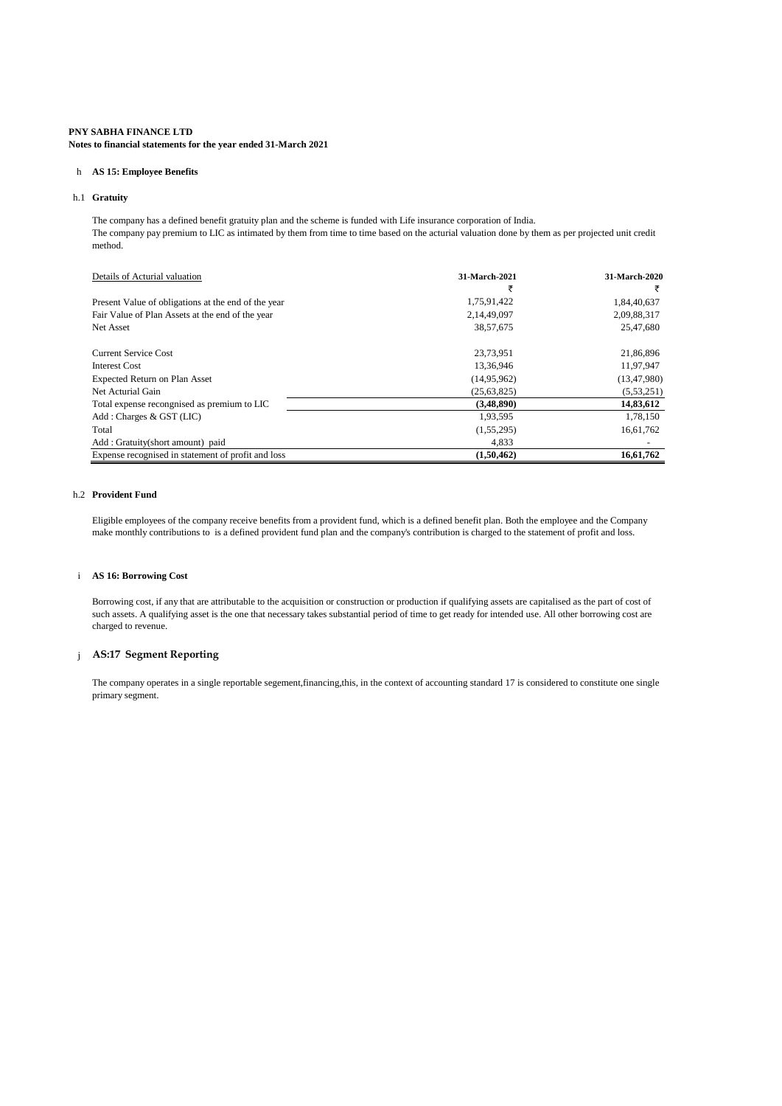**Notes to financial statements for the year ended 31-March 2021**

### h **AS 15: Employee Benefits**

### h.1 **Gratuity**

The company has a defined benefit gratuity plan and the scheme is funded with Life insurance corporation of India. The company pay premium to LIC as intimated by them from time to time based on the acturial valuation done by them as per projected unit credit method.

| Details of Acturial valuation                       | 31-March-2021 | 31-March-2020 |
|-----------------------------------------------------|---------------|---------------|
|                                                     |               | ₹             |
| Present Value of obligations at the end of the year | 1,75,91,422   | 1,84,40,637   |
| Fair Value of Plan Assets at the end of the year    | 2,14,49,097   | 2,09,88,317   |
| Net Asset                                           | 38,57,675     | 25,47,680     |
| Current Service Cost                                | 23,73,951     | 21,86,896     |
| Interest Cost                                       | 13,36,946     | 11,97,947     |
| Expected Return on Plan Asset                       | (14,95,962)   | (13, 47, 980) |
| Net Acturial Gain                                   | (25, 63, 825) | (5,53,251)    |
| Total expense recongnised as premium to LIC         | (3,48,890)    | 14,83,612     |
| Add: Charges & GST (LIC)                            | 1,93,595      | 1,78,150      |
| Total                                               | (1,55,295)    | 16,61,762     |
| Add: Gratuity(short amount) paid                    | 4.833         |               |
| Expense recognised in statement of profit and loss  | (1,50,462)    | 16,61,762     |

### h.2 **Provident Fund**

Eligible employees of the company receive benefits from a provident fund, which is a defined benefit plan. Both the employee and the Company make monthly contributions to is a defined provident fund plan and the company's contribution is charged to the statement of profit and loss.

### i **AS 16: Borrowing Cost**

Borrowing cost, if any that are attributable to the acquisition or construction or production if qualifying assets are capitalised as the part of cost of such assets. A qualifying asset is the one that necessary takes substantial period of time to get ready for intended use. All other borrowing cost are charged to revenue.

### j **AS:17 Segment Reporting**

The company operates in a single reportable segement,financing,this, in the context of accounting standard 17 is considered to constitute one single primary segment.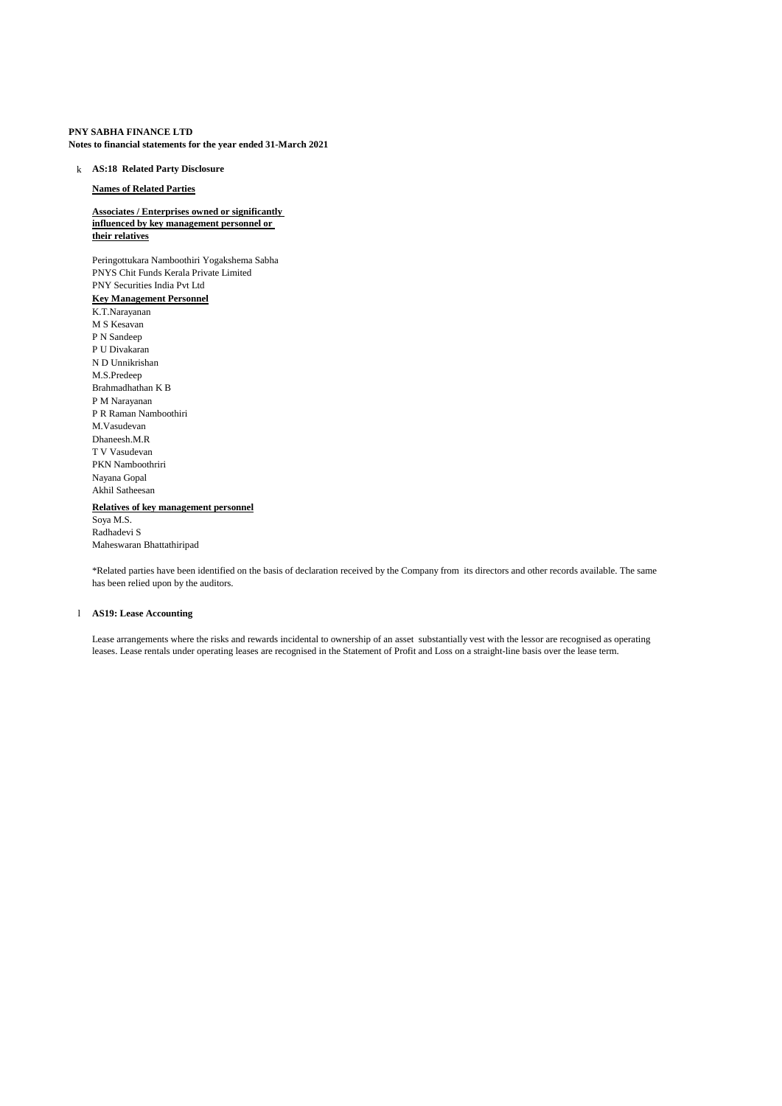**Notes to financial statements for the year ended 31-March 2021**

### k **AS:18 Related Party Disclosure**

### **Names of Related Parties**

### **Associates / Enterprises owned or significantly influenced by key management personnel or their relatives**

Peringottukara Namboothiri Yogakshema Sabha PNYS Chit Funds Kerala Private Limited PNY Securities India Pvt Ltd

### **Key Management Personnel** K.T.Narayanan

M S Kesavan P N Sandeep P U Divakaran N D Unnikrishan M.S.Predeep Brahmadhathan K B P M Narayanan P R Raman Namboothiri M.Vasudevan Dhaneesh.M.R T V Vasudevan PKN Namboothriri Nayana Gopal Akhil Satheesan **Relatives of key management personnel** Soya M.S. Radhadevi S

Maheswaran Bhattathiripad

\*Related parties have been identified on the basis of declaration received by the Company from its directors and other records available. The same has been relied upon by the auditors.

#### l **AS19: Lease Accounting**

Lease arrangements where the risks and rewards incidental to ownership of an asset substantially vest with the lessor are recognised as operating leases. Lease rentals under operating leases are recognised in the Statement of Profit and Loss on a straight-line basis over the lease term.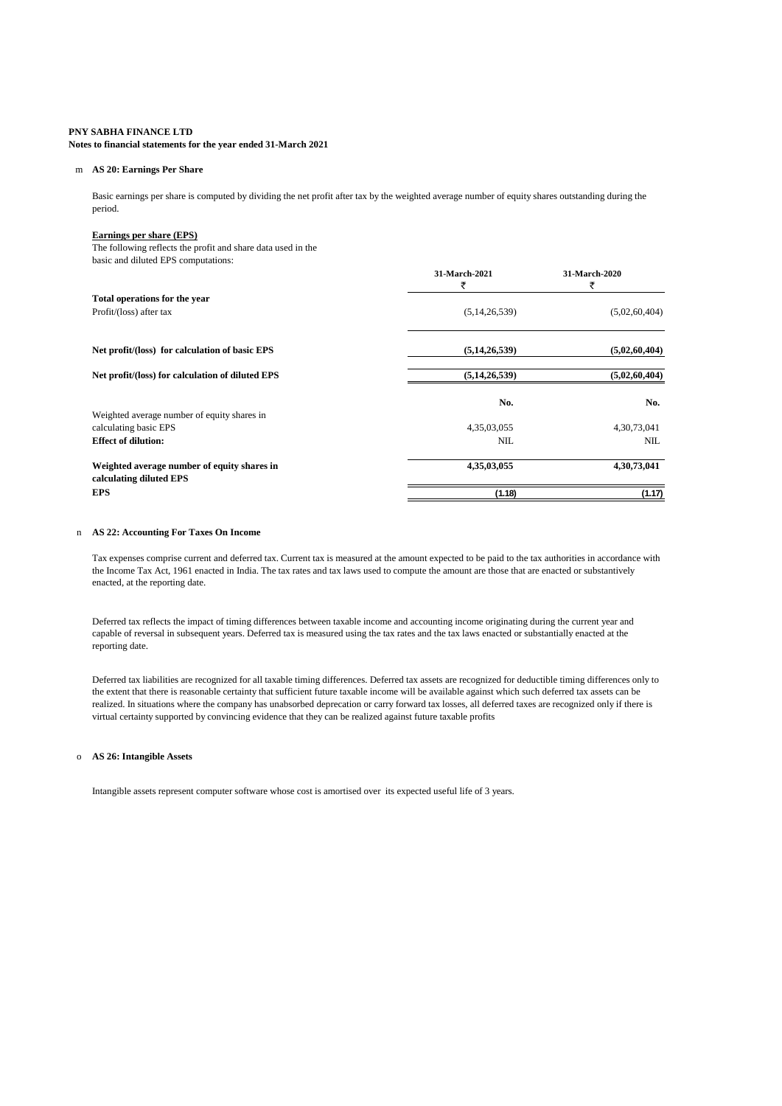#### **Notes to financial statements for the year ended 31-March 2021**

### m **AS 20: Earnings Per Share**

Basic earnings per share is computed by dividing the net profit after tax by the weighted average number of equity shares outstanding during the period.

### **Earnings per share (EPS)**

The following reflects the profit and share data used in the basic and diluted EPS computations:

|                                                                        | 31-March-2021<br>₹ | 31-March-2020<br>₹ |
|------------------------------------------------------------------------|--------------------|--------------------|
| Total operations for the year                                          |                    |                    |
| Profit/(loss) after tax                                                | (5, 14, 26, 539)   | (5,02,60,404)      |
| Net profit/(loss) for calculation of basic EPS                         | (5, 14, 26, 539)   | (5,02,60,404)      |
| Net profit/(loss) for calculation of diluted EPS                       | (5, 14, 26, 539)   | (5,02,60,404)      |
|                                                                        | No.                | No.                |
| Weighted average number of equity shares in                            |                    |                    |
| calculating basic EPS                                                  | 4,35,03,055        | 4,30,73,041        |
| <b>Effect of dilution:</b>                                             | <b>NIL</b>         | NIL                |
| Weighted average number of equity shares in<br>calculating diluted EPS | 4,35,03,055        | 4,30,73,041        |
| <b>EPS</b>                                                             | (1.18)             | (1.17)             |

#### n **AS 22: Accounting For Taxes On Income**

Tax expenses comprise current and deferred tax. Current tax is measured at the amount expected to be paid to the tax authorities in accordance with the Income Tax Act, 1961 enacted in India. The tax rates and tax laws used to compute the amount are those that are enacted or substantively enacted, at the reporting date.

Deferred tax reflects the impact of timing differences between taxable income and accounting income originating during the current year and capable of reversal in subsequent years. Deferred tax is measured using the tax rates and the tax laws enacted or substantially enacted at the reporting date.

Deferred tax liabilities are recognized for all taxable timing differences. Deferred tax assets are recognized for deductible timing differences only to the extent that there is reasonable certainty that sufficient future taxable income will be available against which such deferred tax assets can be realized. In situations where the company has unabsorbed deprecation or carry forward tax losses, all deferred taxes are recognized only if there is virtual certainty supported by convincing evidence that they can be realized against future taxable profits

#### o **AS 26: Intangible Assets**

Intangible assets represent computer software whose cost is amortised over its expected useful life of 3 years.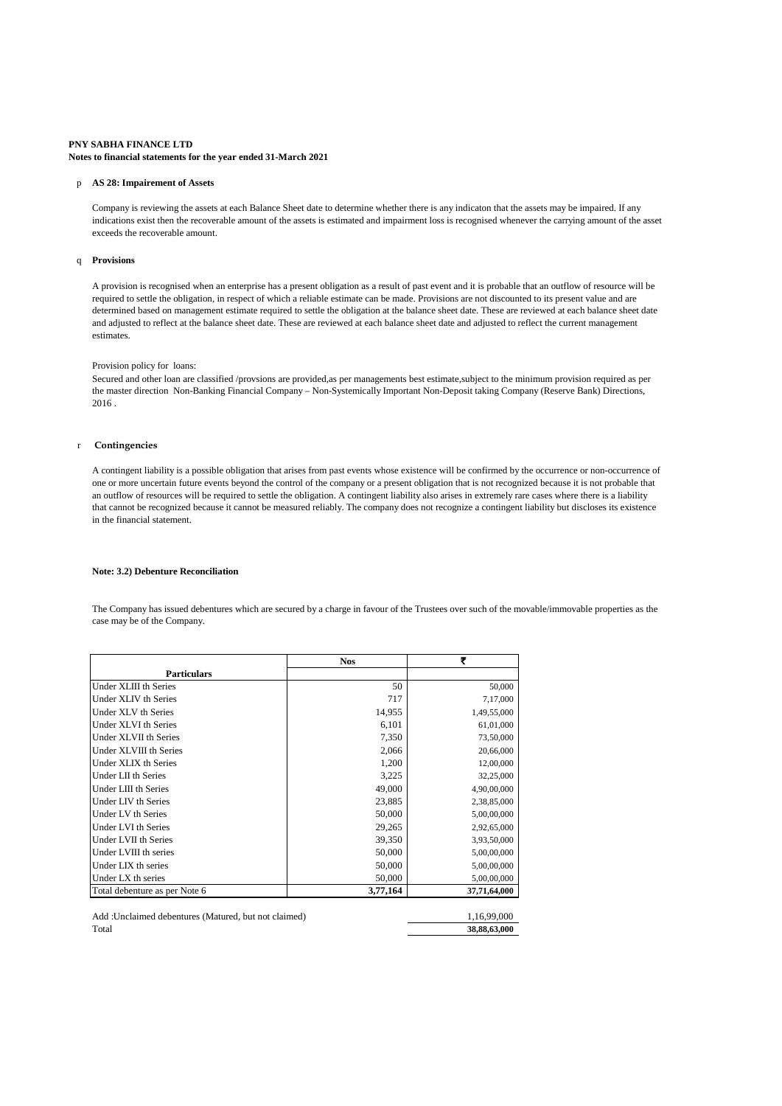### **PNY SABHA FINANCE LTD Notes to financial statements for the year ended 31-March 2021**

#### p **AS 28: Impairement of Assets**

Company is reviewing the assets at each Balance Sheet date to determine whether there is any indicaton that the assets may be impaired. If any indications exist then the recoverable amount of the assets is estimated and impairment loss is recognised whenever the carrying amount of the asset exceeds the recoverable amount.

#### q **Provisions**

A provision is recognised when an enterprise has a present obligation as a result of past event and it is probable that an outflow of resource will be required to settle the obligation, in respect of which a reliable estimate can be made. Provisions are not discounted to its present value and are determined based on management estimate required to settle the obligation at the balance sheet date. These are reviewed at each balance sheet date and adjusted to reflect at the balance sheet date. These are reviewed at each balance sheet date and adjusted to reflect the current management estimates.

### Provision policy for loans:

Secured and other loan are classified /provsions are provided,as per managements best estimate,subject to the minimum provision required as per the master direction Non-Banking Financial Company – Non-Systemically Important Non-Deposit taking Company (Reserve Bank) Directions, 2016

#### r **Contingencies**

A contingent liability is a possible obligation that arises from past events whose existence will be confirmed by the occurrence or non-occurrence of one or more uncertain future events beyond the control of the company or a present obligation that is not recognized because it is not probable that an outflow of resources will be required to settle the obligation. A contingent liability also arises in extremely rare cases where there is a liability that cannot be recognized because it cannot be measured reliably. The company does not recognize a contingent liability but discloses its existence in the financial statement.

#### **Note: 3.2) Debenture Reconciliation**

The Company has issued debentures which are secured by a charge in favour of the Trustees over such of the movable/immovable properties as the case may be of the Company.

|                               | <b>Nos</b> | ₹            |
|-------------------------------|------------|--------------|
| <b>Particulars</b>            |            |              |
| Under XLIII th Series         | 50         | 50,000       |
| Under XLIV th Series          | 717        | 7,17,000     |
| Under XLV th Series           | 14,955     | 1,49,55,000  |
| Under XLVI th Series          | 6,101      | 61,01,000    |
| Under XLVII th Series         | 7,350      | 73,50,000    |
| Under XLVIII th Series        | 2,066      | 20,66,000    |
| Under XLIX th Series          | 1,200      | 12,00,000    |
| Under LII th Series           | 3,225      | 32,25,000    |
| Under LIII th Series          | 49,000     | 4,90,00,000  |
| Under LIV th Series           | 23,885     | 2,38,85,000  |
| Under LV th Series            | 50,000     | 5,00,00,000  |
| Under LVI th Series           | 29,265     | 2,92,65,000  |
| Under LVII th Series          | 39,350     | 3,93,50,000  |
| Under LVIII th series         | 50,000     | 5,00,00,000  |
| Under LIX th series           | 50,000     | 5,00,00,000  |
| Under LX th series            | 50,000     | 5,00,00,000  |
| Total debenture as per Note 6 | 3,77,164   | 37,71,64,000 |

| Add: Unclaimed debentures (Matured, but not claimed) | 1.16.99.000  |
|------------------------------------------------------|--------------|
| Total                                                | 38,88,63,000 |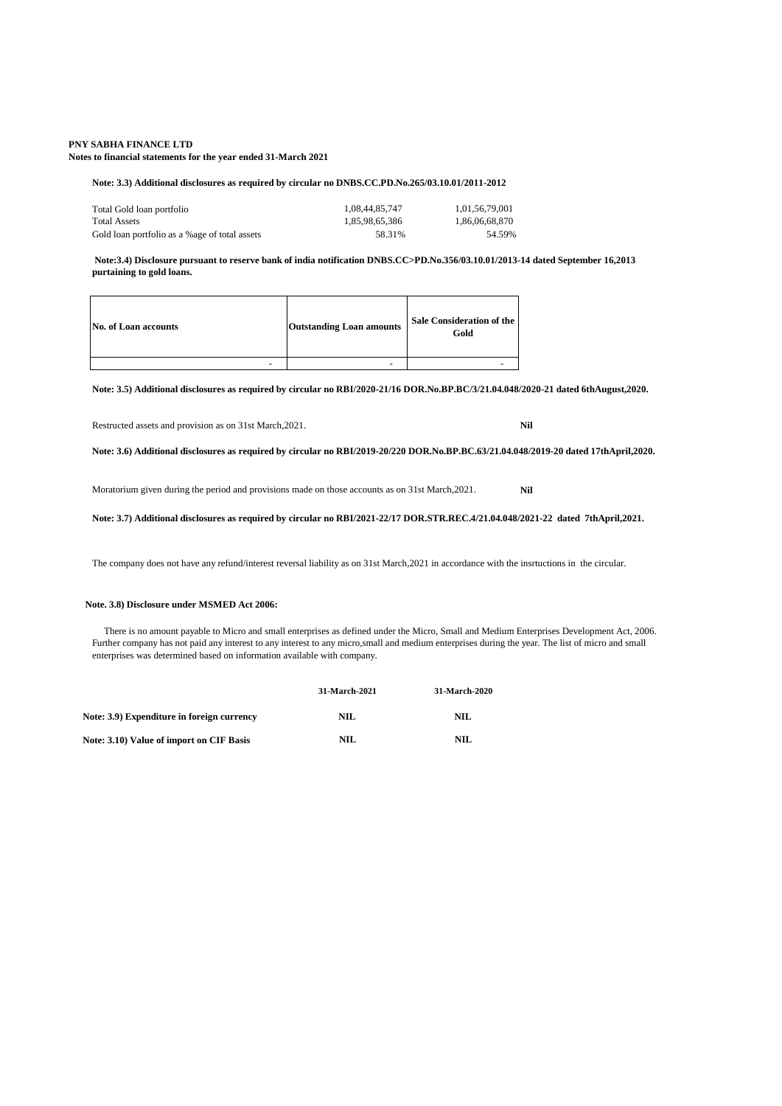**Notes to financial statements for the year ended 31-March 2021**

#### **Note: 3.3) Additional disclosures as required by circular no DNBS.CC.PD.No.265/03.10.01/2011-2012**

| Total Gold loan portfolio                      | 1.08.44.85.747 | 1.01.56.79.001 |
|------------------------------------------------|----------------|----------------|
| <b>Total Assets</b>                            | 1.85.98.65.386 | 1.86.06.68.870 |
| Gold loan portfolio as a % age of total assets | 58.31%         | 54.59%         |

 **Note:3.4) Disclosure pursuant to reserve bank of india notification DNBS.CC>PD.No.356/03.10.01/2013-14 dated September 16,2013 purtaining to gold loans.** 

| No. of Loan accounts | <b>Outstanding Loan amounts</b> | Sale Consideration of the<br>Gold |
|----------------------|---------------------------------|-----------------------------------|
| -                    | $\overline{\phantom{0}}$        |                                   |

**Note: 3.5) Additional disclosures as required by circular no RBI/2020-21/16 DOR.No.BP.BC/3/21.04.048/2020-21 dated 6thAugust,2020.**

Restructed assets and provision as on 31st March,2021. **Nil**

**Note: 3.6) Additional disclosures as required by circular no RBI/2019-20/220 DOR.No.BP.BC.63/21.04.048/2019-20 dated 17thApril,2020.**

Moratorium given during the period and provisions made on those accounts as on 31st March,2021. **Nil**

### **Note: 3.7) Additional disclosures as required by circular no RBI/2021-22/17 DOR.STR.REC.4/21.04.048/2021-22 dated 7thApril,2021.**

The company does not have any refund/interest reversal liability as on 31st March,2021 in accordance with the insrtuctions in the circular.

#### **Note. 3.8) Disclosure under MSMED Act 2006:**

 There is no amount payable to Micro and small enterprises as defined under the Micro, Small and Medium Enterprises Development Act, 2006. Further company has not paid any interest to any interest to any micro,small and medium enterprises during the year. The list of micro and small enterprises was determined based on information available with company.

|                                            | <b>31-March-2021</b> | 31-March-2020 |
|--------------------------------------------|----------------------|---------------|
| Note: 3.9) Expenditure in foreign currency | NIL.                 | NH.           |
| Note: 3.10) Value of import on CIF Basis   | NIL.                 | NH.           |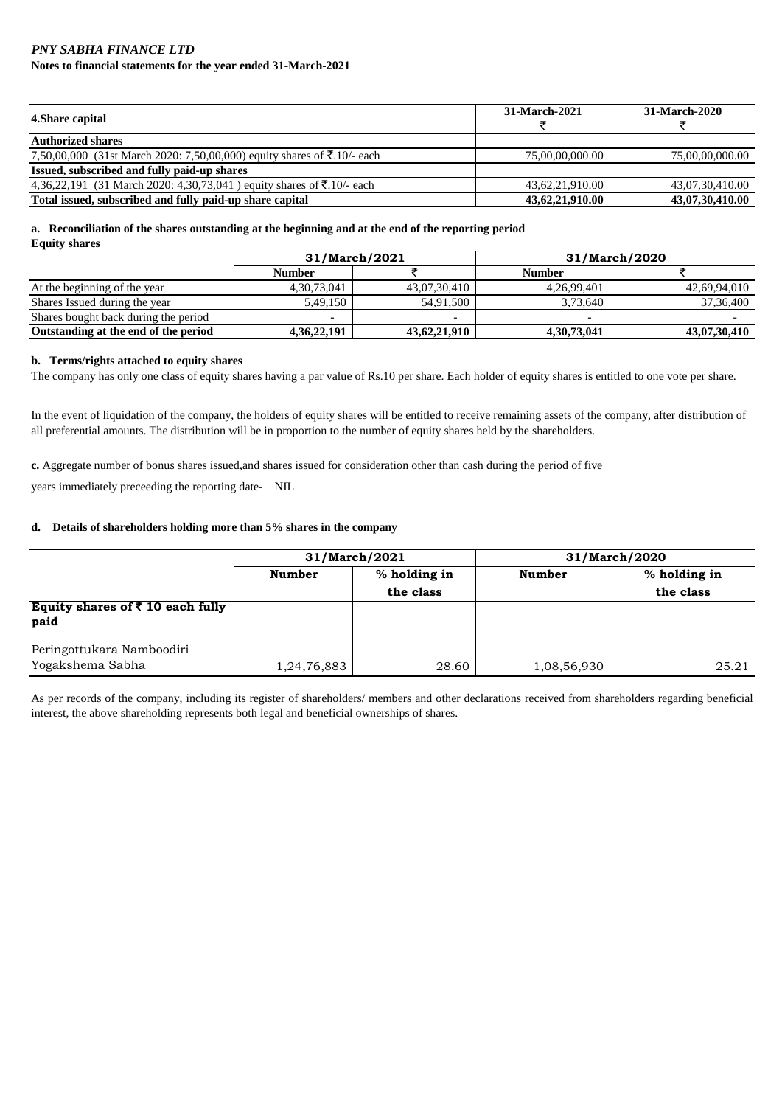### *PNY SABHA FINANCE LTD* **Notes to financial statements for the year ended 31-March-2021**

| 4. Share capital                                                        | 31-March-2021   | 31-March-2020   |
|-------------------------------------------------------------------------|-----------------|-----------------|
|                                                                         |                 |                 |
| <b>Authorized shares</b>                                                |                 |                 |
| 7,50,00,000 (31st March 2020: 7,50,00,000) equity shares of ₹.10/- each | 75,00,00,000,00 | 75,00,00,000,00 |
| Issued, subscribed and fully paid-up shares                             |                 |                 |
| $4,36,22,191$ (31 March 2020: 4,30,73,041) equity shares of ₹.10/- each | 43,62,21,910.00 | 43,07,30,410.00 |
| Total issued, subscribed and fully paid-up share capital                | 43,62,21,910.00 | 43,07,30,410.00 |

# **a. Reconciliation of the shares outstanding at the beginning and at the end of the reporting period**

| <b>Equity shares</b> |  |
|----------------------|--|
|----------------------|--|

|                                      | 31/March/2021            |                          |                | 31/March/2020 |
|--------------------------------------|--------------------------|--------------------------|----------------|---------------|
|                                      | <b>Number</b>            |                          | <b>Number</b>  |               |
| At the beginning of the year         | 4, 30, 73, 041           | 43.07.30.410             | 4.26.99.401    | 42,69,94,010  |
| Shares Issued during the year        | 5.49.150                 | 54.91.500                | 3.73.640       | 37, 36, 400   |
| Shares bought back during the period | $\overline{\phantom{0}}$ | $\overline{\phantom{0}}$ | -              |               |
| Outstanding at the end of the period | 4,36,22,191              | 43,62,21,910             | 4, 30, 73, 041 | 43,07,30,410  |

### **b. Terms/rights attached to equity shares**

The company has only one class of equity shares having a par value of Rs.10 per share. Each holder of equity shares is entitled to one vote per share.

In the event of liquidation of the company, the holders of equity shares will be entitled to receive remaining assets of the company, after distribution of all preferential amounts. The distribution will be in proportion to the number of equity shares held by the shareholders.

**c.** Aggregate number of bonus shares issued,and shares issued for consideration other than cash during the period of five

years immediately preceeding the reporting date- NIL

### **d. Details of shareholders holding more than 5% shares in the company**

|                                          |               | 31/March/2021 | 31/March/2020 |              |  |
|------------------------------------------|---------------|---------------|---------------|--------------|--|
|                                          | <b>Number</b> | % holding in  | <b>Number</b> | % holding in |  |
|                                          |               | the class     |               | the class    |  |
| Equity shares of $\bar{z}$ 10 each fully |               |               |               |              |  |
| <b>paid</b>                              |               |               |               |              |  |
|                                          |               |               |               |              |  |
| Peringottukara Namboodiri                |               |               |               |              |  |
| Yogakshema Sabha                         | 1,24,76,883   | 28.60         | 1,08,56,930   | 25.21        |  |

As per records of the company, including its register of shareholders/ members and other declarations received from shareholders regarding beneficial interest, the above shareholding represents both legal and beneficial ownerships of shares.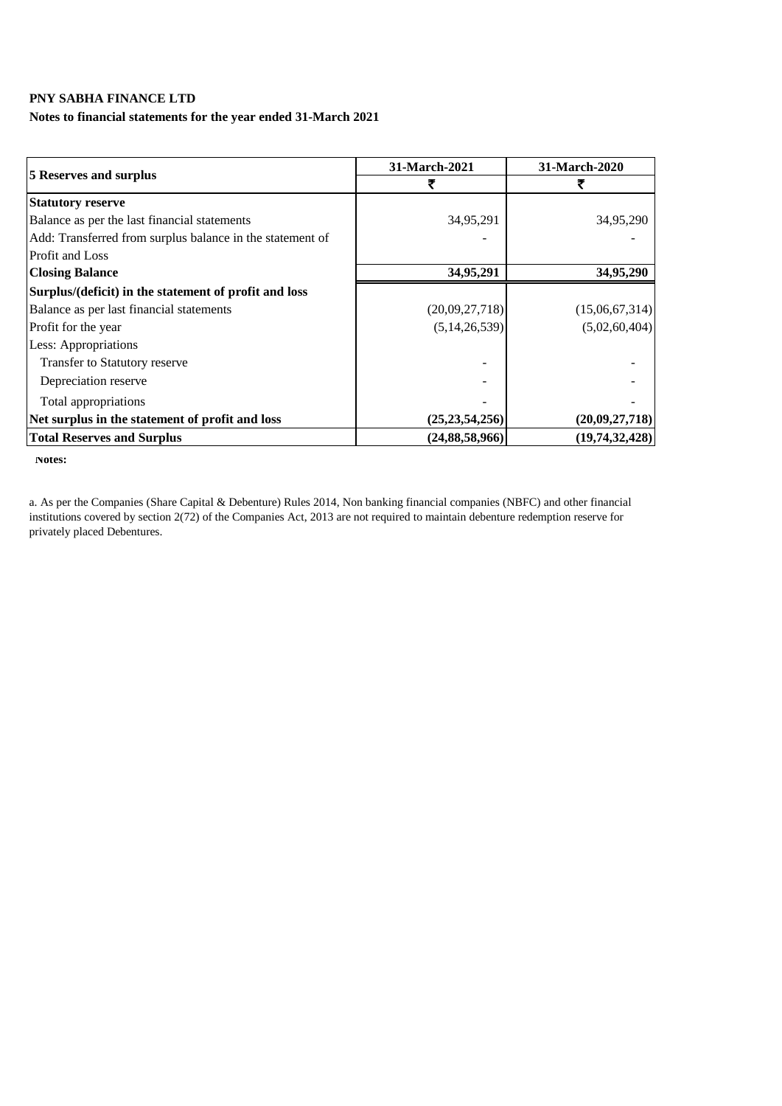### **Notes to financial statements for the year ended 31-March 2021**

|                                                           | 31-March-2021     | 31-March-2020  |
|-----------------------------------------------------------|-------------------|----------------|
| <b>5 Reserves and surplus</b>                             |                   |                |
| <b>Statutory reserve</b>                                  |                   |                |
| Balance as per the last financial statements              | 34,95,291         | 34,95,290      |
| Add: Transferred from surplus balance in the statement of |                   |                |
| <b>Profit and Loss</b>                                    |                   |                |
| <b>Closing Balance</b>                                    | 34,95,291         | 34,95,290      |
| Surplus/(deficit) in the statement of profit and loss     |                   |                |
| Balance as per last financial statements                  | (20,09,27,718)    | (15,06,67,314) |
| Profit for the year                                       | (5, 14, 26, 539)  | (5,02,60,404)  |
| Less: Appropriations                                      |                   |                |
| Transfer to Statutory reserve                             |                   |                |
| Depreciation reserve                                      |                   |                |
| Total appropriations                                      |                   |                |
| Net surplus in the statement of profit and loss           | (25, 23, 54, 256) | (20,09,27,718) |
| <b>Total Reserves and Surplus</b>                         | (24, 88, 58, 966) | (19,74,32,428) |

 **Notes:**

a. As per the Companies (Share Capital & Debenture) Rules 2014, Non banking financial companies (NBFC) and other financial institutions covered by section 2(72) of the Companies Act, 2013 are not required to maintain debenture redemption reserve for privately placed Debentures.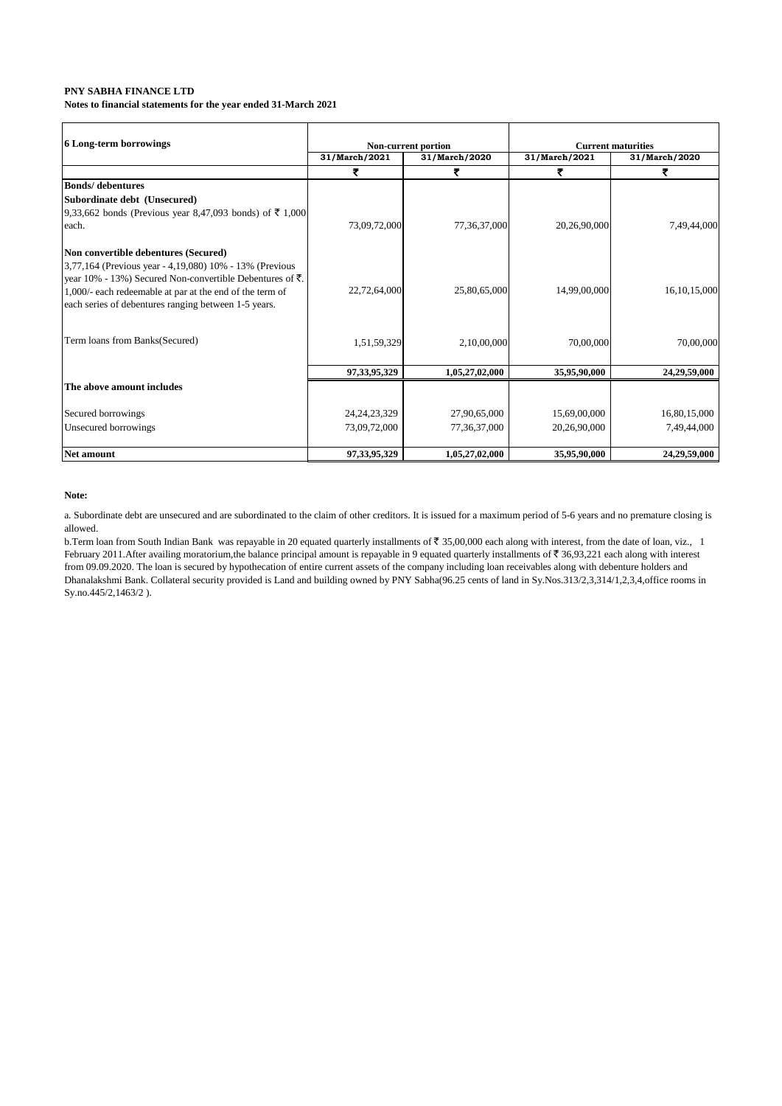### **PNY SABHA FINANCE LTD Notes to financial statements for the year ended 31-March 2021**

| 6 Long-term borrowings                                   |                                | Non-current portion |               | <b>Current maturities</b> |
|----------------------------------------------------------|--------------------------------|---------------------|---------------|---------------------------|
|                                                          | 31/March/2021<br>31/March/2020 |                     | 31/March/2021 | 31/March/2020             |
|                                                          | ₹                              | ₹                   | ₹             | ₹                         |
| <b>Bonds/</b> debentures                                 |                                |                     |               |                           |
| Subordinate debt (Unsecured)                             |                                |                     |               |                           |
| 9,33,662 bonds (Previous year 8,47,093 bonds) of ₹ 1,000 |                                |                     |               |                           |
| each.                                                    | 73,09,72,000                   | 77,36,37,000        | 20,26,90,000  | 7,49,44,000               |
| Non convertible debentures (Secured)                     |                                |                     |               |                           |
| 3,77,164 (Previous year - 4,19,080) 10% - 13% (Previous  |                                |                     |               |                           |
| year 10% - 13%) Secured Non-convertible Debentures of ₹. |                                |                     |               |                           |
| 1,000/- each redeemable at par at the end of the term of | 22,72,64,000                   | 25,80,65,000        | 14,99,00,000  | 16, 10, 15, 000           |
| each series of debentures ranging between 1-5 years.     |                                |                     |               |                           |
| Term loans from Banks(Secured)                           |                                |                     |               |                           |
|                                                          | 1,51,59,329                    | 2,10,00,000         | 70,00,000     | 70,00,000                 |
|                                                          | 97, 33, 95, 329                | 1,05,27,02,000      | 35,95,90,000  | 24,29,59,000              |
| The above amount includes                                |                                |                     |               |                           |
| Secured borrowings                                       | 24, 24, 23, 329                | 27,90,65,000        | 15,69,00,000  | 16,80,15,000              |
| Unsecured borrowings                                     | 73,09,72,000                   | 77,36,37,000        | 20,26,90,000  | 7,49,44,000               |
| Net amount                                               | 97,33,95,329                   | 1,05,27,02,000      | 35,95,90,000  | 24,29,59,000              |

### **Note:**

a. Subordinate debt are unsecured and are subordinated to the claim of other creditors. It is issued for a maximum period of 5-6 years and no premature closing is allowed.

b. Term loan from South Indian Bank was repayable in 20 equated quarterly installments of  $\bar{z}$  35,00,000 each along with interest, from the date of loan, viz., 1 February 2011. After availing moratorium, the balance principal amount is repayable in 9 equated quarterly installments of  $\bar{\tau}$  36,93,221 each along with interest from 09.09.2020. The loan is secured by hypothecation of entire current assets of the company including loan receivables along with debenture holders and Dhanalakshmi Bank. Collateral security provided is Land and building owned by PNY Sabha(96.25 cents of land in Sy.Nos.313/2,3,314/1,2,3,4,office rooms in Sy.no.445/2,1463/2 ).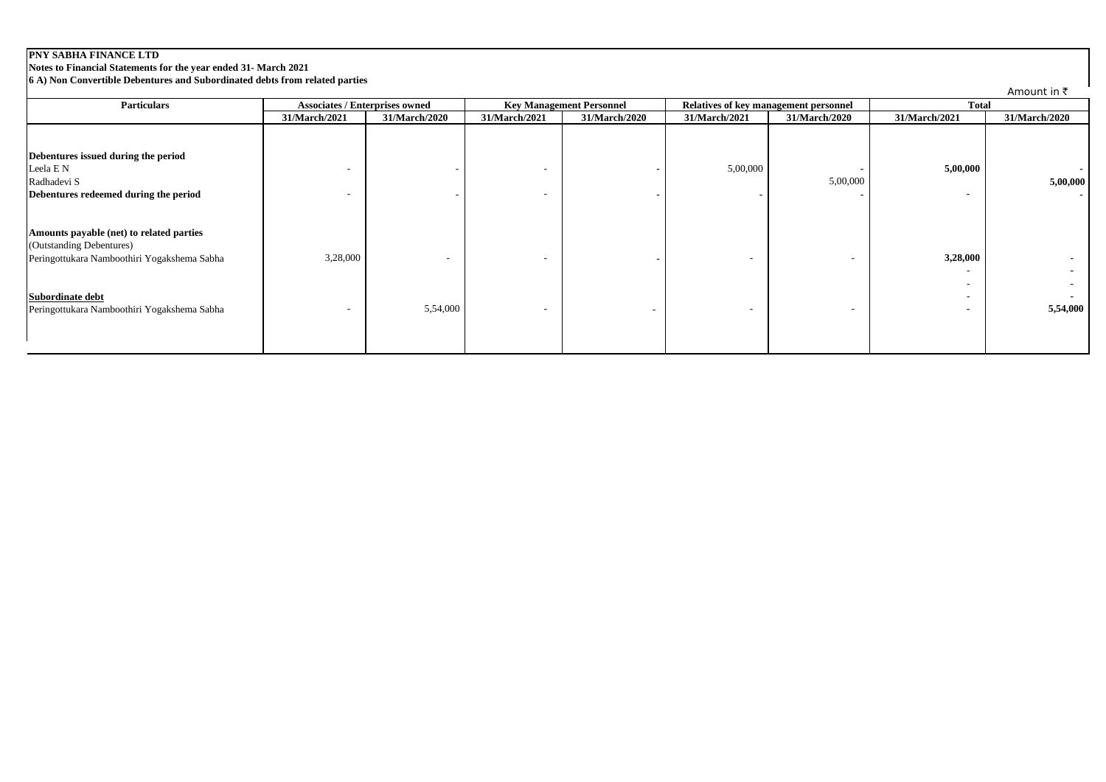**Notes to Financial Statements for the year ended 31- March 2021**

**6 A) Non Convertible Debentures and Subordinated debts from related parties**

| <b>Particulars</b>                                                                                                  | <b>Associates / Enterprises owned</b> |               | <b>Key Management Personnel</b> |               |               | Relatives of key management personnel | <b>Total</b>                               |                                      |
|---------------------------------------------------------------------------------------------------------------------|---------------------------------------|---------------|---------------------------------|---------------|---------------|---------------------------------------|--------------------------------------------|--------------------------------------|
|                                                                                                                     | 31/March/2021                         | 31/March/2020 | 31/March/2021                   | 31/March/2020 | 31/March/2021 | 31/March/2020                         | 31/March/2021                              | 31/March/2020                        |
| Debentures issued during the period<br>Leela E N<br>Radhadevi S                                                     |                                       | -             | $\overline{\phantom{0}}$        |               | 5,00,000      | 5,00,000                              | 5,00,000                                   | $\overline{\phantom{a}}$<br>5,00,000 |
| Debentures redeemed during the period                                                                               |                                       |               | $\overline{\phantom{a}}$        |               |               |                                       | $\blacksquare$                             | $\sim$                               |
| Amounts payable (net) to related parties<br>(Outstanding Debentures)<br>Peringottukara Namboothiri Yogakshema Sabha | 3,28,000                              |               | $\overline{\phantom{0}}$        |               |               |                                       | 3,28,000<br>$\overline{\phantom{a}}$       |                                      |
| Subordinate debt<br>Peringottukara Namboothiri Yogakshema Sabha                                                     |                                       | 5,54,000      | $\overline{\phantom{0}}$        |               |               |                                       | $\overline{\phantom{a}}$<br>$\blacksquare$ | 5,54,000                             |

Amount in  $\bar{z}$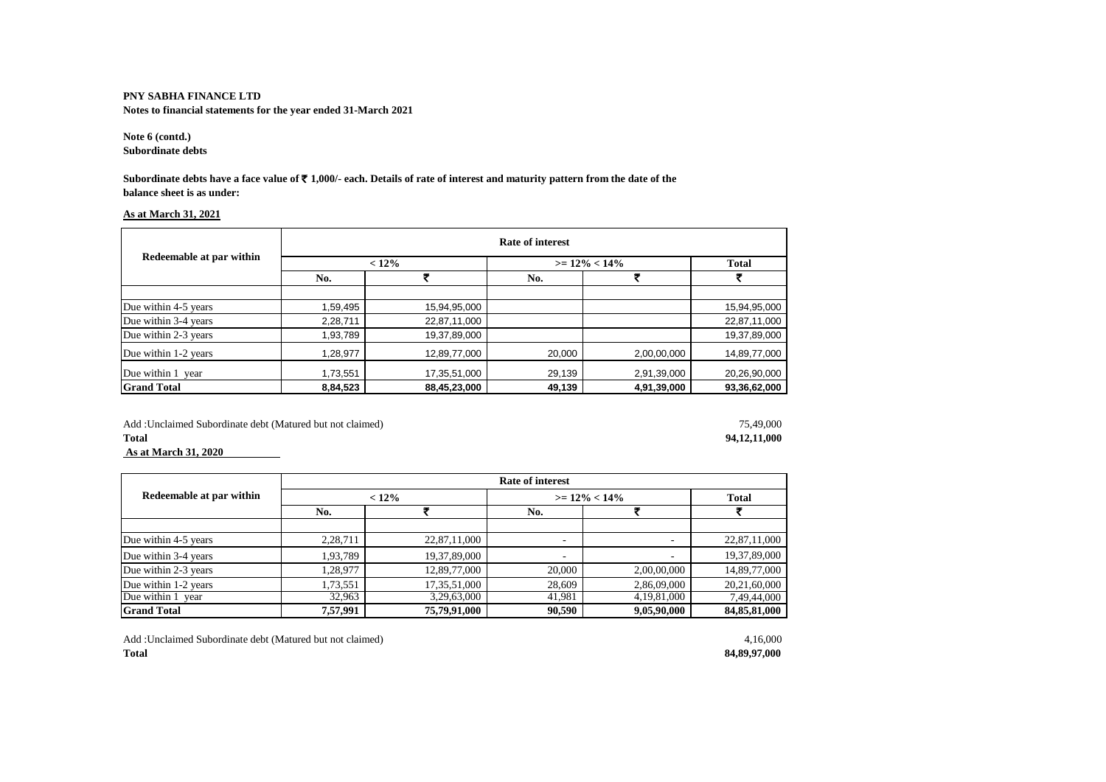**Notes to financial statements for the year ended 31-March 2021**

**Note 6 (contd.) Subordinate debts**

**Subordinate debts have a face value of** ` **1,000/- each. Details of rate of interest and maturity pattern from the date of the balance sheet is as under:**

### **As at March 31, 2021**

|                          | Rate of interest |              |                  |             |              |  |
|--------------------------|------------------|--------------|------------------|-------------|--------------|--|
| Redeemable at par within | $< 12\%$         |              | $>= 12\% < 14\%$ |             | <b>Total</b> |  |
|                          | No.              |              | No.              | 5           |              |  |
|                          |                  |              |                  |             |              |  |
| Due within 4-5 years     | 1,59,495         | 15,94,95,000 |                  |             | 15,94,95,000 |  |
| Due within 3-4 years     | 2,28,711         | 22,87,11,000 |                  |             | 22,87,11,000 |  |
| Due within 2-3 years     | 1,93,789         | 19,37,89,000 |                  |             | 19,37,89,000 |  |
| Due within 1-2 years     | 1,28,977         | 12,89,77,000 | 20,000           | 2,00,00,000 | 14,89,77,000 |  |
| Due within 1<br>vear     | 1,73,551         | 17,35,51,000 | 29,139           | 2,91,39,000 | 20,26,90,000 |  |
| <b>Grand Total</b>       | 8,84,523         | 88,45,23,000 | 49,139           | 4,91,39,000 | 93,36,62,000 |  |

Add :Unclaimed Subordinate debt (Matured but not claimed) 75,49,000<br> **Total** 94,12,11,000 **Total 94,12,11,000 As at March 31, 2020** 

|                          | <b>Rate of interest</b> |              |                          |                |              |  |  |
|--------------------------|-------------------------|--------------|--------------------------|----------------|--------------|--|--|
| Redeemable at par within | $< 12\%$                |              | $>= 12\% < 14\%$         | <b>Total</b>   |              |  |  |
|                          | No.                     |              | No.                      |                |              |  |  |
|                          |                         |              |                          |                |              |  |  |
| Due within 4-5 years     | 2.28.711                | 22,87,11,000 |                          |                | 22,87,11,000 |  |  |
| Due within 3-4 years     | 1.93.789                | 19,37,89,000 | $\overline{\phantom{a}}$ |                | 19,37,89,000 |  |  |
| Due within 2-3 years     | 1.28.977                | 12,89,77,000 | 20,000                   | 2,00,00,000    | 14,89,77,000 |  |  |
| Due within 1-2 years     | 1,73,551                | 17,35,51,000 | 28,609                   | 2,86,09,000    | 20,21,60,000 |  |  |
| Due within 1 year        | 32,963                  | 3,29,63,000  | 41,981                   | 4, 19, 81, 000 | 7,49,44,000  |  |  |
| <b>Grand Total</b>       | 7,57,991                | 75,79,91,000 | 90,590                   | 9,05,90,000    | 84,85,81,000 |  |  |

Add :Unclaimed Subordinate debt (Matured but not claimed) 4,16,000 **Total 84,89,97,000**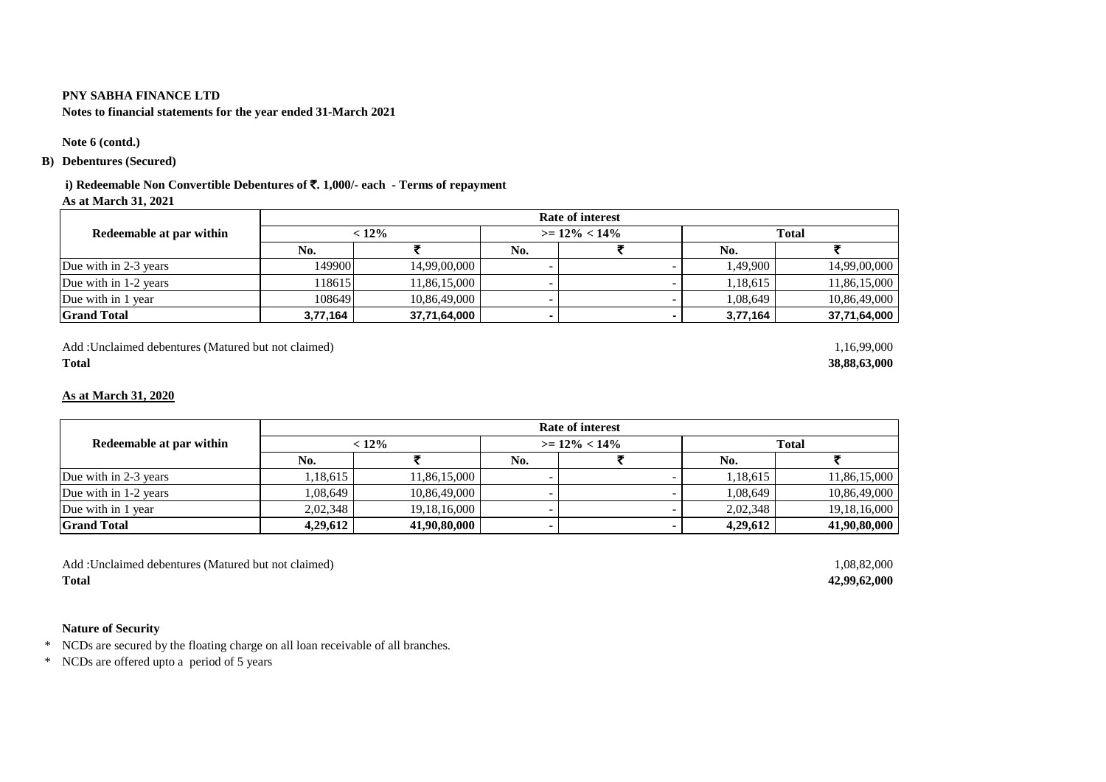**Notes to financial statements for the year ended 31-March 2021**

### **Note 6 (contd.)**

### **B) Debentures (Secured)**

# **i) Redeemable Non Convertible Debentures of** `**. 1,000/- each - Terms of repayment**

**As at March 31, 2021**

|                          | <b>Rate of interest</b> |              |                  |  |              |              |  |
|--------------------------|-------------------------|--------------|------------------|--|--------------|--------------|--|
| Redeemable at par within | $< 12\%$                |              | $>= 12\% < 14\%$ |  | <b>Total</b> |              |  |
|                          | No.                     |              | No.              |  | No.          |              |  |
| Due with in 2-3 years    | 149900                  | 14,99,00,000 |                  |  | 1.49.900     | 14,99,00,000 |  |
| Due with in 1-2 years    | 118615                  | 11,86,15,000 |                  |  | 1,18,615     | 11.86.15.000 |  |
| Due with in 1 year       | 108649                  | 10,86,49,000 |                  |  | 1.08.649     | 10,86,49,000 |  |
| <b>Grand Total</b>       | 3,77,164                | 37,71,64,000 |                  |  | 3,77,164     | 37,71,64,000 |  |

Add :Unclaimed debentures (Matured but not claimed) 1,16,99,000

### **As at March 31, 2020**

|                          | Rate of interest |                 |                  |  |              |                 |  |
|--------------------------|------------------|-----------------|------------------|--|--------------|-----------------|--|
| Redeemable at par within | $< 12\%$         |                 | $>= 12\% < 14\%$ |  | <b>Total</b> |                 |  |
|                          | No.              |                 | No.              |  | No.          |                 |  |
| Due with in 2-3 years    | ,18,615          | 11,86,15,000    |                  |  | 1,18,615     | 11,86,15,000    |  |
| Due with in 1-2 years    | ,08,649          | 10,86,49,000    |                  |  | 1,08,649     | 10.86.49.000    |  |
| Due with in 1 year       | 2.02.348         | 19, 18, 16, 000 |                  |  | 2,02,348     | 19, 18, 16, 000 |  |
| <b>Grand Total</b>       | 4.29.612         | 41.90.80.000    |                  |  | 4.29.612     | 41,90,80,000    |  |

Add :Unclaimed debentures (Matured but not claimed) 1,08,82,000 **Total 42,99,62,000** 

### **Nature of Security**

\* NCDs are secured by the floating charge on all loan receivable of all branches.

\* NCDs are offered upto a period of 5 years

**Total 38,88,63,000**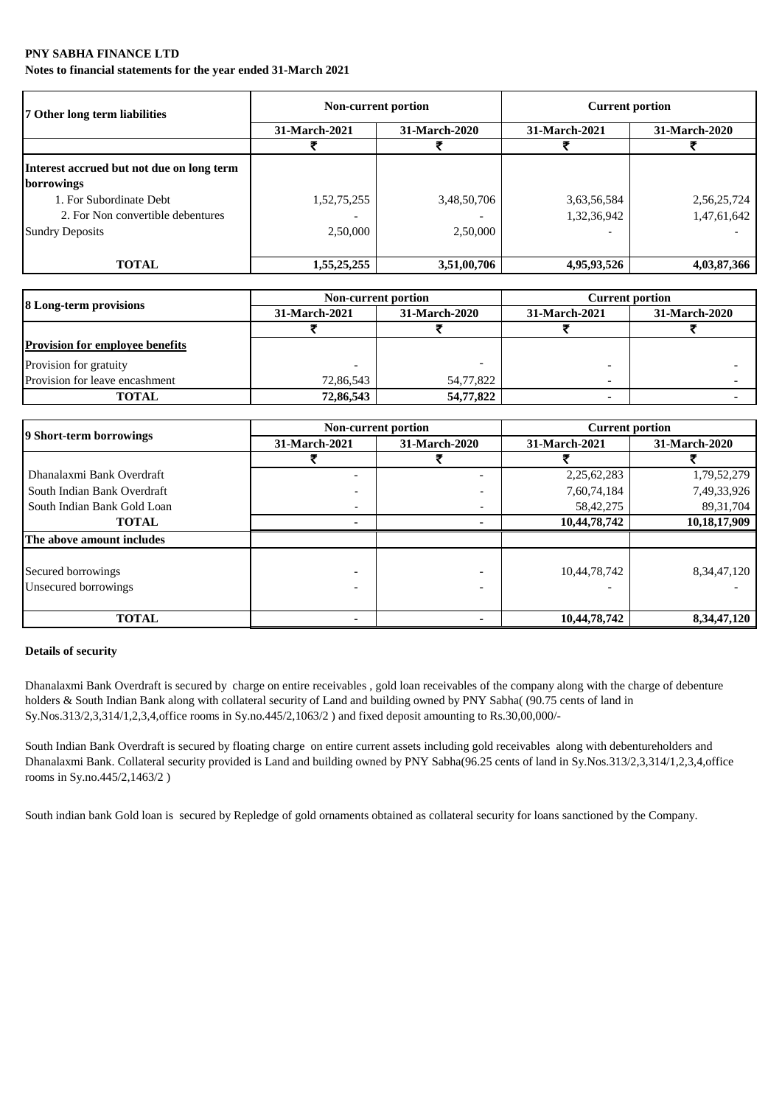**Notes to financial statements for the year ended 31-March 2021**

| 7 Other long term liabilities             | Non-current portion |               | <b>Current portion</b> |               |  |
|-------------------------------------------|---------------------|---------------|------------------------|---------------|--|
|                                           | 31-March-2021       | 31-March-2020 | 31-March-2021          | 31-March-2020 |  |
|                                           |                     |               |                        |               |  |
| Interest accrued but not due on long term |                     |               |                        |               |  |
| borrowings                                |                     |               |                        |               |  |
| 1. For Subordinate Debt                   | 1,52,75,255         | 3,48,50,706   | 3,63,56,584            | 2,56,25,724   |  |
| 2. For Non convertible debentures         |                     |               | 1,32,36,942            | 1,47,61,642   |  |
| <b>Sundry Deposits</b>                    | 2,50,000            | 2,50,000      |                        |               |  |
| <b>TOTAL</b>                              | 1,55,25,255         | 3,51,00,706   | 4,95,93,526            | 4,03,87,366   |  |

| 8 Long-term provisions                 | Non-current portion            |           | <b>Current portion</b> |                      |  |
|----------------------------------------|--------------------------------|-----------|------------------------|----------------------|--|
|                                        | 31-March-2020<br>31-March-2021 |           | 31-March-2021          | <b>31-March-2020</b> |  |
|                                        |                                |           |                        |                      |  |
| <b>Provision for employee benefits</b> |                                |           |                        |                      |  |
| Provision for gratuity                 |                                |           |                        |                      |  |
| Provision for leave encashment         | 72,86,543                      | 54,77,822 |                        |                      |  |
| <b>TOTAL</b>                           | 72,86,543                      | 54,77,822 |                        |                      |  |

| 9 Short-term borrowings     |                          | Non-current portion | <b>Current portion</b> |                |
|-----------------------------|--------------------------|---------------------|------------------------|----------------|
|                             | 31-March-2021            | 31-March-2020       | 31-March-2021          | 31-March-2020  |
|                             |                          |                     |                        |                |
| Dhanalaxmi Bank Overdraft   | $\overline{\phantom{0}}$ |                     | 2,25,62,283            | 1,79,52,279    |
| South Indian Bank Overdraft |                          |                     | 7,60,74,184            | 7,49,33,926    |
| South Indian Bank Gold Loan | $\overline{\phantom{a}}$ |                     | 58,42,275              | 89, 31, 704    |
| <b>TOTAL</b>                |                          |                     | 10,44,78,742           | 10,18,17,909   |
| The above amount includes   |                          |                     |                        |                |
|                             |                          |                     |                        |                |
| Secured borrowings          |                          |                     | 10,44,78,742           | 8, 34, 47, 120 |
| Unsecured borrowings        |                          |                     |                        |                |
|                             |                          |                     |                        |                |
| <b>TOTAL</b>                |                          |                     | 10,44,78,742           | 8, 34, 47, 120 |

### **Details of security**

Dhanalaxmi Bank Overdraft is secured by charge on entire receivables , gold loan receivables of the company along with the charge of debenture holders & South Indian Bank along with collateral security of Land and building owned by PNY Sabha( (90.75 cents of land in Sy.Nos.313/2,3,314/1,2,3,4,office rooms in Sy.no.445/2,1063/2 ) and fixed deposit amounting to Rs.30,00,000/-

South Indian Bank Overdraft is secured by floating charge on entire current assets including gold receivables along with debentureholders and Dhanalaxmi Bank. Collateral security provided is Land and building owned by PNY Sabha(96.25 cents of land in Sy.Nos.313/2,3,314/1,2,3,4,office rooms in Sy.no.445/2,1463/2 )

South indian bank Gold loan is secured by Repledge of gold ornaments obtained as collateral security for loans sanctioned by the Company.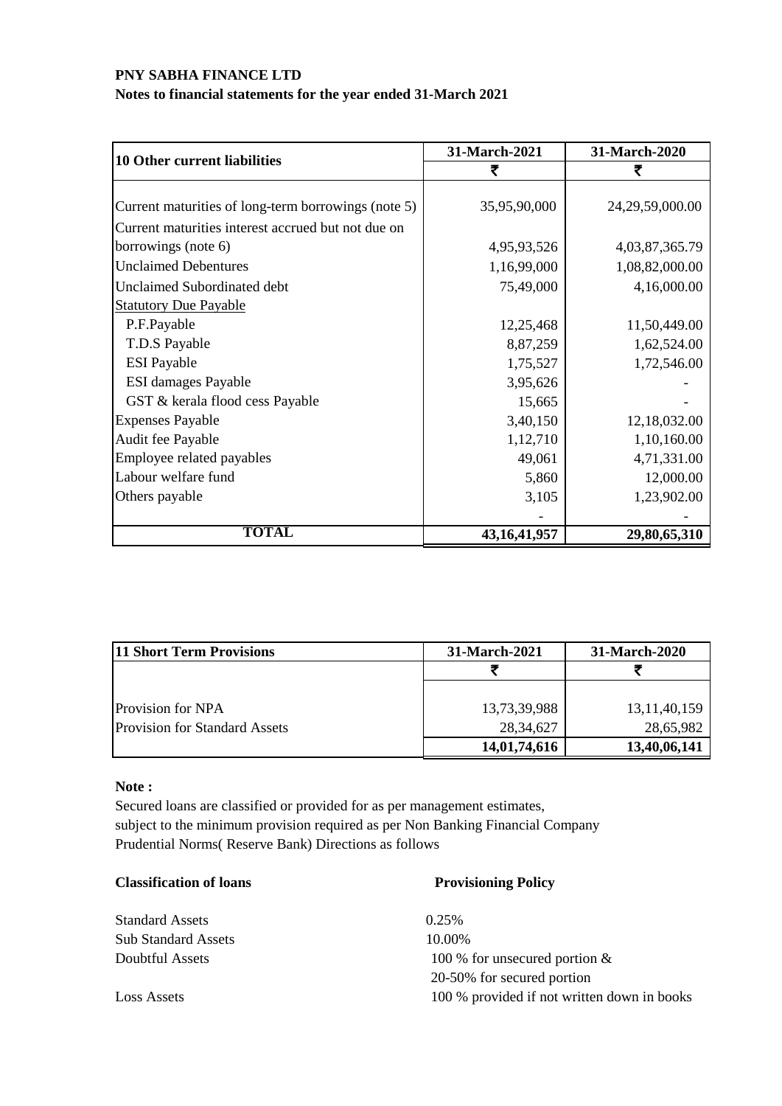# **Notes to financial statements for the year ended 31-March 2021**

| <b>10 Other current liabilities</b>                 | 31-March-2021   | 31-March-2020       |  |
|-----------------------------------------------------|-----------------|---------------------|--|
|                                                     | ₹               | ₹                   |  |
|                                                     |                 |                     |  |
| Current maturities of long-term borrowings (note 5) | 35,95,90,000    | 24, 29, 59, 000. 00 |  |
| Current maturities interest accrued but not due on  |                 |                     |  |
| borrowings (note 6)                                 | 4,95,93,526     | 4,03,87,365.79      |  |
| <b>Unclaimed Debentures</b>                         | 1,16,99,000     | 1,08,82,000.00      |  |
| <b>Unclaimed Subordinated debt</b>                  | 75,49,000       | 4,16,000.00         |  |
| <b>Statutory Due Payable</b>                        |                 |                     |  |
| P.F.Payable                                         | 12,25,468       | 11,50,449.00        |  |
| T.D.S Payable                                       | 8,87,259        | 1,62,524.00         |  |
| <b>ESI</b> Payable                                  | 1,75,527        | 1,72,546.00         |  |
| <b>ESI</b> damages Payable                          | 3,95,626        |                     |  |
| GST & kerala flood cess Payable                     | 15,665          |                     |  |
| <b>Expenses Payable</b>                             | 3,40,150        | 12,18,032.00        |  |
| Audit fee Payable                                   | 1,12,710        | 1,10,160.00         |  |
| Employee related payables                           | 49,061          | 4,71,331.00         |  |
| Labour welfare fund                                 | 5,860           | 12,000.00           |  |
| Others payable                                      | 3,105           | 1,23,902.00         |  |
|                                                     |                 |                     |  |
| <b>TOTAL</b>                                        | 43, 16, 41, 957 | 29,80,65,310        |  |

| <b>11 Short Term Provisions</b>      | 31-March-2021 | 31-March-2020   |
|--------------------------------------|---------------|-----------------|
|                                      |               |                 |
|                                      |               |                 |
| Provision for NPA                    | 13,73,39,988  | 13, 11, 40, 159 |
| <b>Provision for Standard Assets</b> | 28, 34, 627   | 28,65,982       |
|                                      | 14,01,74,616  | 13,40,06,141    |

### **Note :**

Secured loans are classified or provided for as per management estimates, subject to the minimum provision required as per Non Banking Financial Company Prudential Norms( Reserve Bank) Directions as follows

### **Classification of loans Provisioning Policy**

| <b>Standard Assets</b>     | 0.25%                                       |
|----------------------------|---------------------------------------------|
| <b>Sub Standard Assets</b> | 10.00%                                      |
| Doubtful Assets            | 100 % for unsecured portion $\&$            |
|                            | 20-50% for secured portion                  |
| Loss Assets                | 100 % provided if not written down in books |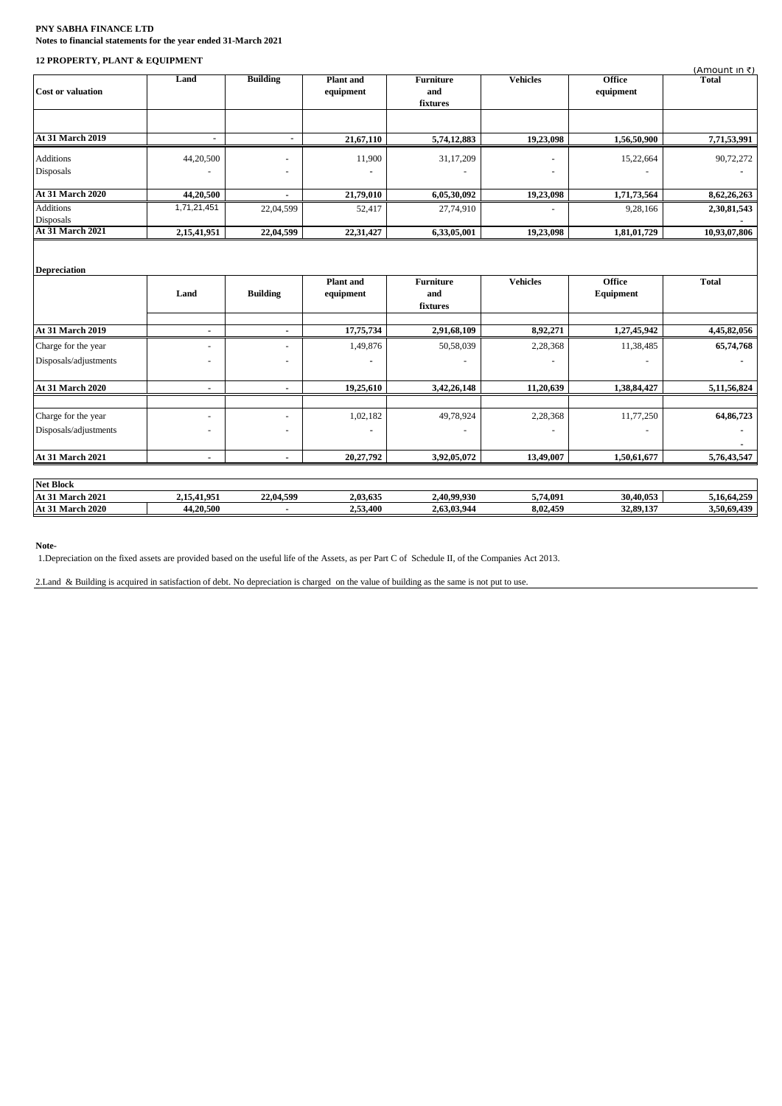### **PNY SABHA FINANCE LTD Notes to financial statements for the year ended 31-March 2021**

### **12 PROPERTY, PLANT & EQUIPMENT**

|                                      |                          |                 |                               |                                     |                        |                            | (Amount in ₹) |
|--------------------------------------|--------------------------|-----------------|-------------------------------|-------------------------------------|------------------------|----------------------------|---------------|
| <b>Cost or valuation</b>             | Land                     | <b>Building</b> | Plant and<br>equipment        | <b>Furniture</b><br>and<br>fixtures | <b>Vehicles</b>        | <b>Office</b><br>equipment | <b>Total</b>  |
| <b>At 31 March 2019</b>              |                          |                 |                               |                                     |                        |                            |               |
|                                      | $\blacksquare$           | $\blacksquare$  | 21,67,110                     | 5,74,12,883                         | 19,23,098              | 1,56,50,900                | 7,71,53,991   |
| <b>Additions</b><br>Disposals        | 44,20,500                |                 | 11,900                        | 31,17,209                           |                        | 15,22,664                  | 90,72,272     |
| <b>At 31 March 2020</b>              | 44,20,500                | $\blacksquare$  | 21,79,010                     | 6,05,30,092                         | 19,23,098              | 1,71,73,564                | 8,62,26,263   |
| <b>Additions</b><br><b>Disposals</b> | 1,71,21,451              | 22,04,599       | 52,417                        | 27,74,910                           |                        | 9,28,166                   | 2,30,81,543   |
| <b>At 31 March 2021</b>              | 2,15,41,951              | 22,04,599       | 22,31,427                     | 6,33,05,001                         | $\overline{19,23,098}$ | 1,81,01,729                | 10,93,07,806  |
| <b>Depreciation</b>                  | Land                     | <b>Building</b> | <b>Plant</b> and<br>equipment | <b>Furniture</b><br>and<br>fixtures | <b>Vehicles</b>        | <b>Office</b><br>Equipment | <b>Total</b>  |
| <b>At 31 March 2019</b>              | $\blacksquare$           | $\overline{a}$  | 17,75,734                     | 2,91,68,109                         | 8,92,271               | 1,27,45,942                | 4,45,82,056   |
| Charge for the year                  | $\overline{\phantom{a}}$ | ٠               | 1,49,876                      | 50,58,039                           | 2,28,368               | 11,38,485                  | 65,74,768     |
| Disposals/adjustments                | $\overline{\phantom{a}}$ | ٠               |                               |                                     |                        |                            |               |
| <b>At 31 March 2020</b>              | $\blacksquare$           | $\blacksquare$  | 19,25,610                     | 3,42,26,148                         | 11,20,639              | 1,38,84,427                | 5,11,56,824   |
| Charge for the year                  | $\sim$                   | $\sim$          | 1,02,182                      | 49,78,924                           | 2,28,368               | 11,77,250                  | 64,86,723     |
| Disposals/adjustments                | ٠                        | $\blacksquare$  |                               |                                     |                        |                            |               |
| At 31 March 2021                     |                          |                 | 20,27,792                     | 3,92,05,072                         | 13,49,007              | 1,50,61,677                | 5,76,43,547   |
| <b>Net Block</b>                     |                          |                 |                               |                                     |                        |                            |               |
| <b>At 31 March 2021</b>              | 2,15,41,951              | 22,04,599       | 2,03,635                      | 2,40,99,930                         | 5,74,091               | 30,40,053                  | 5,16,64,259   |
| <b>At 31 March 2020</b>              | 44,20,500                |                 | 2,53,400                      | 2,63,03,944                         | 8,02,459               | 32,89,137                  | 3,50,69,439   |

**Note-**

1.Depreciation on the fixed assets are provided based on the useful life of the Assets, as per Part C of Schedule II, of the Companies Act 2013.

2.Land & Building is acquired in satisfaction of debt. No depreciation is charged on the value of building as the same is not put to use.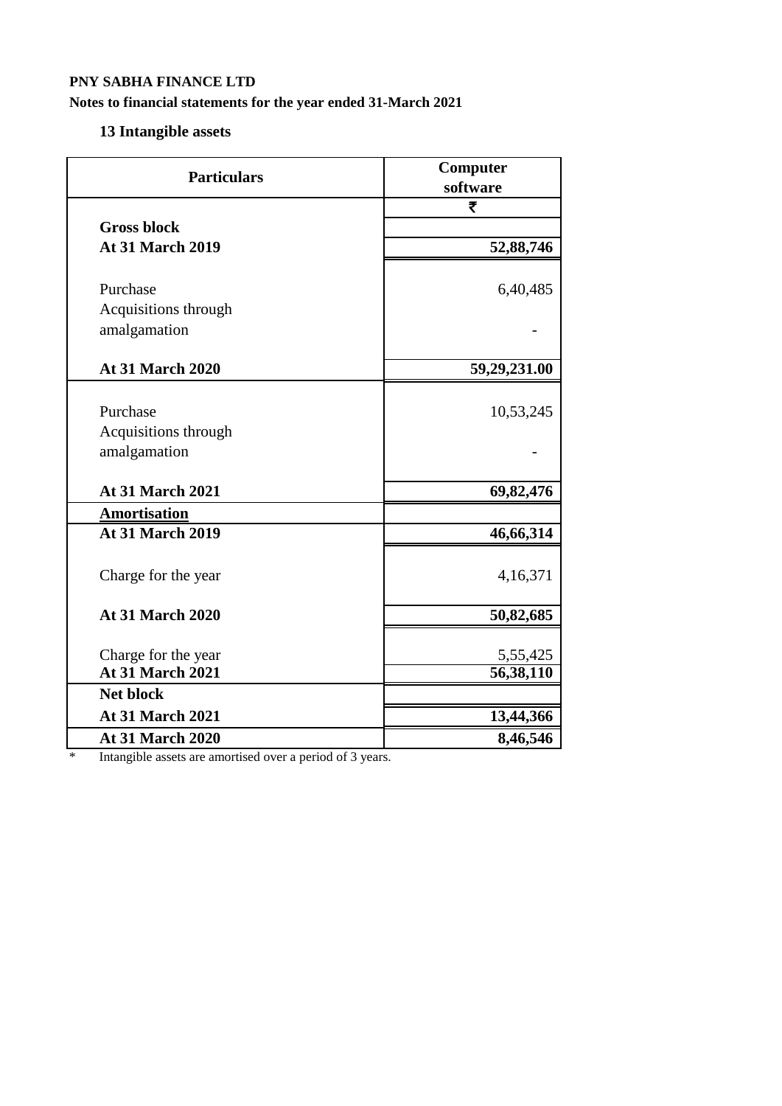# **Notes to financial statements for the year ended 31-March 2021**

# **13 Intangible assets**

| <b>Particulars</b>                               | Computer<br>software  |
|--------------------------------------------------|-----------------------|
|                                                  | ₹                     |
| <b>Gross block</b>                               |                       |
| <b>At 31 March 2019</b>                          | 52,88,746             |
| Purchase<br>Acquisitions through<br>amalgamation | 6,40,485              |
|                                                  |                       |
| <b>At 31 March 2020</b>                          | 59,29,231.00          |
| Purchase<br>Acquisitions through                 | 10,53,245             |
| amalgamation                                     |                       |
| <b>At 31 March 2021</b>                          | 69,82,476             |
| <b>Amortisation</b>                              |                       |
| <b>At 31 March 2019</b>                          | 46,66,314             |
| Charge for the year                              | 4,16,371              |
| <b>At 31 March 2020</b>                          | 50,82,685             |
| Charge for the year<br><b>At 31 March 2021</b>   | 5,55,425<br>56,38,110 |
| <b>Net block</b>                                 |                       |
| <b>At 31 March 2021</b>                          | 13,44,366             |
| <b>At 31 March 2020</b>                          | 8,46,546              |

\* Intangible assets are amortised over a period of 3 years.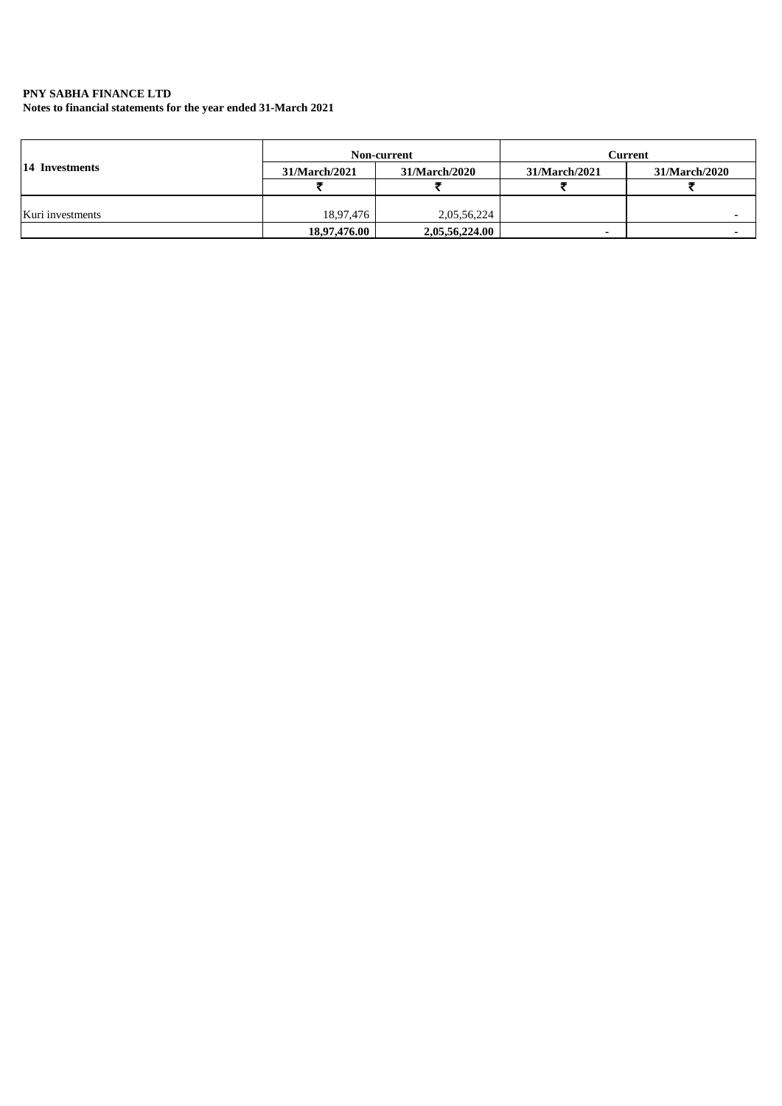**Notes to financial statements for the year ended 31-March 2021**

|                  |               | Non-current    | Current       |               |  |
|------------------|---------------|----------------|---------------|---------------|--|
| 14 Investments   | 31/March/2021 | 31/March/2020  | 31/March/2021 | 31/March/2020 |  |
|                  |               |                |               |               |  |
| Kuri investments | 18,97,476     | 2,05,56,224    |               |               |  |
|                  | 18,97,476.00  | 2,05,56,224.00 |               |               |  |
|                  |               |                |               |               |  |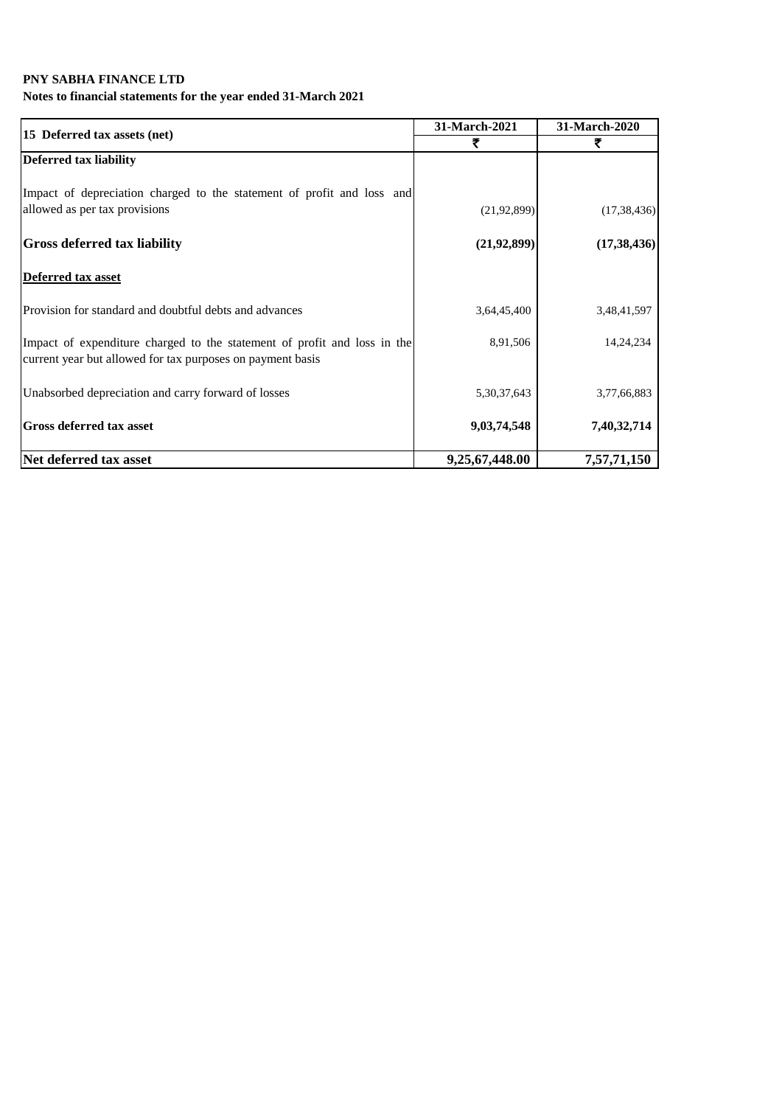# **Notes to financial statements for the year ended 31-March 2021**

|                                                                                                                                        | 31-March-2021  | 31-March-2020 |  |
|----------------------------------------------------------------------------------------------------------------------------------------|----------------|---------------|--|
| 15 Deferred tax assets (net)                                                                                                           | ₹              | ₹             |  |
| <b>Deferred tax liability</b>                                                                                                          |                |               |  |
| Impact of depreciation charged to the statement of profit and loss and<br>allowed as per tax provisions                                | (21, 92, 899)  | (17, 38, 436) |  |
| <b>Gross deferred tax liability</b>                                                                                                    | (21, 92, 899)  | (17, 38, 436) |  |
| <b>Deferred tax asset</b>                                                                                                              |                |               |  |
| Provision for standard and doubtful debts and advances                                                                                 | 3,64,45,400    | 3,48,41,597   |  |
| Impact of expenditure charged to the statement of profit and loss in the<br>current year but allowed for tax purposes on payment basis | 8,91,506       | 14, 24, 234   |  |
| Unabsorbed depreciation and carry forward of losses                                                                                    | 5,30,37,643    | 3,77,66,883   |  |
| <b>Gross deferred tax asset</b>                                                                                                        | 9,03,74,548    | 7,40,32,714   |  |
| Net deferred tax asset                                                                                                                 | 9,25,67,448.00 | 7,57,71,150   |  |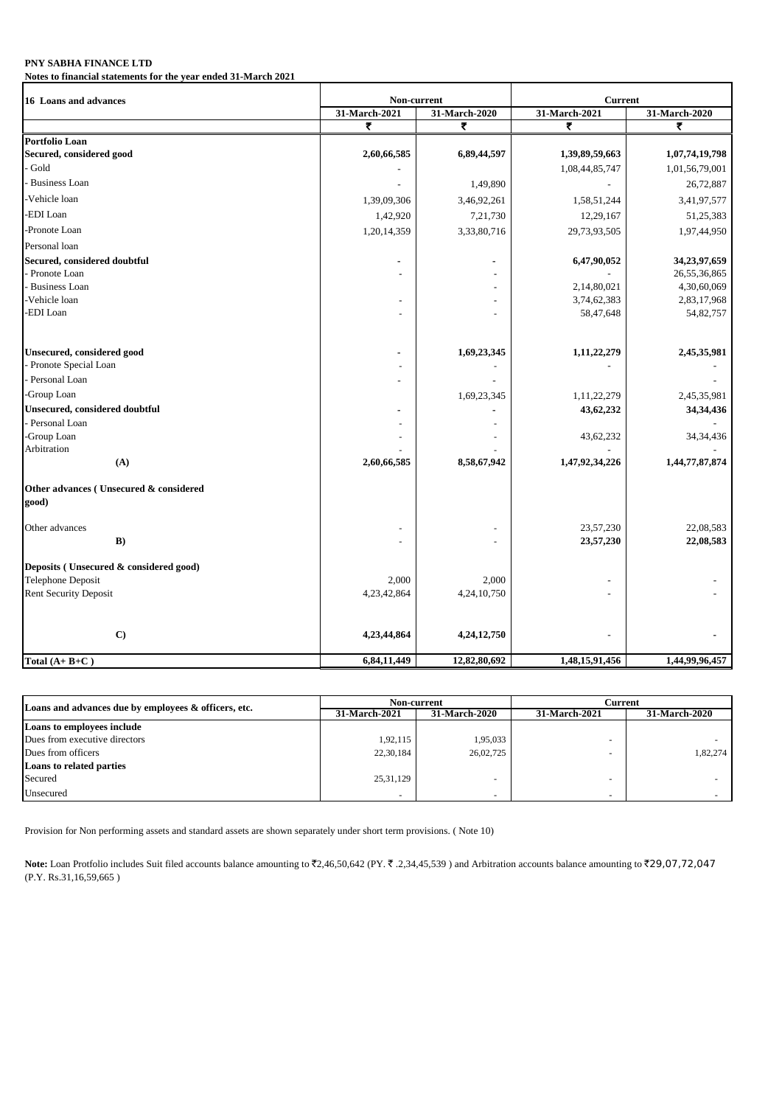**Notes to financial statements for the year ended 31-March 2021**

| 16 Loans and advances                           | Non-current              |               | <b>Current</b> |                |  |
|-------------------------------------------------|--------------------------|---------------|----------------|----------------|--|
|                                                 | 31-March-2021            | 31-March-2020 | 31-March-2021  | 31-March-2020  |  |
|                                                 | ₹                        | ₹             | ₹              | ₹              |  |
| Portfolio Loan                                  |                          |               |                |                |  |
| Secured, considered good                        | 2,60,66,585              | 6,89,44,597   | 1,39,89,59,663 | 1,07,74,19,798 |  |
| Gold                                            |                          |               | 1,08,44,85,747 | 1,01,56,79,001 |  |
| <b>Business Loan</b>                            |                          | 1,49,890      |                | 26,72,887      |  |
| Vehicle loan                                    | 1,39,09,306              | 3,46,92,261   | 1,58,51,244    | 3,41,97,577    |  |
| -EDI Loan                                       | 1,42,920                 | 7,21,730      | 12,29,167      | 51,25,383      |  |
| -Pronote Loan                                   | 1,20,14,359              | 3,33,80,716   | 29,73,93,505   | 1,97,44,950    |  |
| Personal loan                                   |                          |               |                |                |  |
| Secured, considered doubtful                    | $\blacksquare$           |               | 6,47,90,052    | 34,23,97,659   |  |
| Pronote Loan                                    |                          |               |                | 26,55,36,865   |  |
| <b>Business Loan</b>                            |                          |               | 2,14,80,021    | 4,30,60,069    |  |
| Vehicle loan                                    | $\overline{\phantom{a}}$ |               | 3,74,62,383    | 2,83,17,968    |  |
| <b>EDI</b> Loan                                 |                          |               | 58,47,648      | 54,82,757      |  |
| <b>Unsecured, considered good</b>               | $\blacksquare$           | 1,69,23,345   | 1,11,22,279    | 2,45,35,981    |  |
| Pronote Special Loan                            |                          |               |                |                |  |
| Personal Loan                                   |                          |               |                |                |  |
| -Group Loan                                     |                          | 1,69,23,345   | 1,11,22,279    | 2,45,35,981    |  |
| <b>Unsecured, considered doubtful</b>           |                          |               | 43,62,232      | 34,34,436      |  |
| Personal Loan                                   |                          |               |                |                |  |
| -Group Loan                                     |                          |               | 43,62,232      | 34, 34, 436    |  |
| Arbitration                                     |                          |               |                |                |  |
| (A)                                             | 2,60,66,585              | 8,58,67,942   | 1,47,92,34,226 | 1,44,77,87,874 |  |
| Other advances (Unsecured & considered<br>good) |                          |               |                |                |  |
| Other advances                                  |                          |               | 23,57,230      | 22,08,583      |  |
| B)                                              |                          |               | 23,57,230      | 22,08,583      |  |
| Deposits (Unsecured & considered good)          |                          |               |                |                |  |
| <b>Telephone Deposit</b>                        | 2,000                    | 2,000         |                |                |  |
| <b>Rent Security Deposit</b>                    | 4,23,42,864              | 4,24,10,750   |                |                |  |
| $\mathbf{C}$                                    | 4,23,44,864              | 4,24,12,750   |                |                |  |
|                                                 |                          |               |                |                |  |
| Total $(A + B + C)$                             | 6,84,11,449              | 12,82,80,692  | 1,48,15,91,456 | 1,44,99,96,457 |  |

| Loans and advances due by employees & officers, etc. | Non-current   |                      | Current                  |                      |
|------------------------------------------------------|---------------|----------------------|--------------------------|----------------------|
|                                                      | 31-March-2021 | <b>31-March-2020</b> | 31-March-2021            | <b>31-March-2020</b> |
| Loans to employees include                           |               |                      |                          |                      |
| Dues from executive directors                        | 1,92,115      | 1,95,033             |                          |                      |
| Dues from officers                                   | 22,30,184     | 26,02,725            |                          | 1.82.274             |
| Loans to related parties                             |               |                      |                          |                      |
| Secured                                              | 25, 31, 129   |                      |                          |                      |
| Unsecured                                            | ۰             |                      | $\overline{\phantom{a}}$ |                      |

Provision for Non performing assets and standard assets are shown separately under short term provisions. ( Note 10)

Note: Loan Protfolio includes Suit filed accounts balance amounting to ₹2,46,50,642 (PY. ₹.2,34,45,539) and Arbitration accounts balance amounting to ₹29,07,72,047 (P.Y. Rs.31,16,59,665 )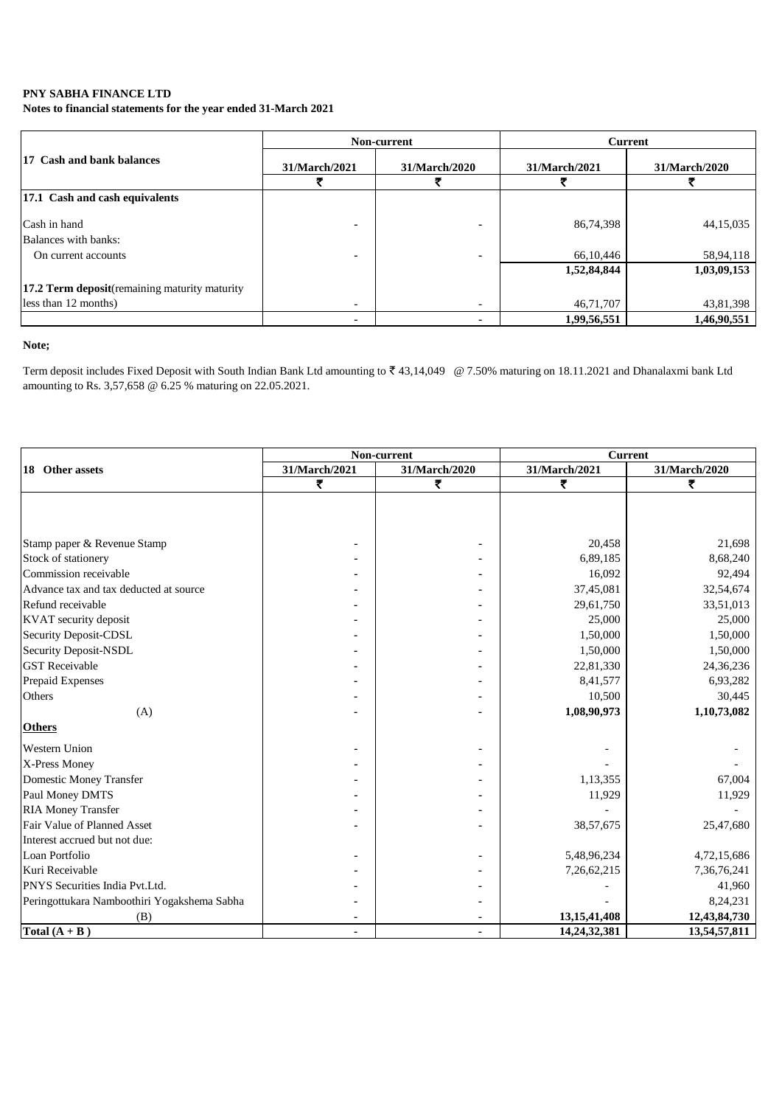**Notes to financial statements for the year ended 31-March 2021**

|                                               |               | Non-current   | <b>Current</b> |               |  |
|-----------------------------------------------|---------------|---------------|----------------|---------------|--|
| 17 Cash and bank balances                     | 31/March/2021 | 31/March/2020 | 31/March/2021  | 31/March/2020 |  |
|                                               |               |               |                |               |  |
| 17.1 Cash and cash equivalents                |               |               |                |               |  |
| Cash in hand                                  |               |               | 86,74,398      | 44,15,035     |  |
| Balances with banks:                          |               |               |                |               |  |
| On current accounts                           |               |               | 66,10,446      | 58,94,118     |  |
|                                               |               |               | 1,52,84,844    | 1,03,09,153   |  |
| 17.2 Term deposit(remaining maturity maturity |               |               |                |               |  |
| less than 12 months)                          |               |               | 46,71,707      | 43,81,398     |  |
|                                               |               |               | 1,99,56,551    | 1,46,90,551   |  |

### **Note;**

Term deposit includes Fixed Deposit with South Indian Bank Ltd amounting to ₹43,14,049 @ 7.50% maturing on 18.11.2021 and Dhanalaxmi bank Ltd amounting to Rs. 3,57,658 @ 6.25 % maturing on 22.05.2021.

|                                             |               | Non-current   | <b>Current</b>  |               |  |
|---------------------------------------------|---------------|---------------|-----------------|---------------|--|
| 18 Other assets                             | 31/March/2021 | 31/March/2020 | 31/March/2021   | 31/March/2020 |  |
|                                             | ₹             | ₹             | ₹               | ₹             |  |
|                                             |               |               |                 |               |  |
|                                             |               |               |                 |               |  |
|                                             |               |               |                 |               |  |
| Stamp paper & Revenue Stamp                 |               |               | 20.458          | 21,698        |  |
| Stock of stationery                         |               |               | 6,89,185        | 8,68,240      |  |
| Commission receivable                       |               |               | 16,092          | 92,494        |  |
| Advance tax and tax deducted at source      |               |               | 37,45,081       | 32,54,674     |  |
| Refund receivable                           |               |               | 29,61,750       | 33,51,013     |  |
| KVAT security deposit                       |               |               | 25,000          | 25,000        |  |
| Security Deposit-CDSL                       |               |               | 1,50,000        | 1,50,000      |  |
| Security Deposit-NSDL                       |               |               | 1,50,000        | 1,50,000      |  |
| <b>GST</b> Receivable                       |               |               | 22,81,330       | 24,36,236     |  |
| Prepaid Expenses                            |               |               | 8,41,577        | 6,93,282      |  |
| Others                                      |               |               | 10,500          | 30,445        |  |
| (A)                                         |               |               | 1,08,90,973     | 1,10,73,082   |  |
| <b>Others</b>                               |               |               |                 |               |  |
| <b>Western Union</b>                        |               |               |                 |               |  |
| X-Press Money                               |               |               |                 |               |  |
| Domestic Money Transfer                     |               |               | 1,13,355        | 67,004        |  |
| Paul Money DMTS                             |               |               | 11,929          | 11,929        |  |
| <b>RIA Money Transfer</b>                   |               |               |                 |               |  |
| Fair Value of Planned Asset                 |               |               | 38,57,675       | 25,47,680     |  |
| Interest accrued but not due:               |               |               |                 |               |  |
| Loan Portfolio                              |               |               | 5,48,96,234     | 4,72,15,686   |  |
| Kuri Receivable                             |               |               | 7,26,62,215     | 7,36,76,241   |  |
| PNYS Securities India Pvt.Ltd.              |               |               |                 | 41,960        |  |
| Peringottukara Namboothiri Yogakshema Sabha |               |               |                 | 8,24,231      |  |
| (B)                                         |               |               | 13, 15, 41, 408 | 12,43,84,730  |  |
| Total $(A + B)$                             | ٠             | ٠             | 14,24,32,381    | 13,54,57,811  |  |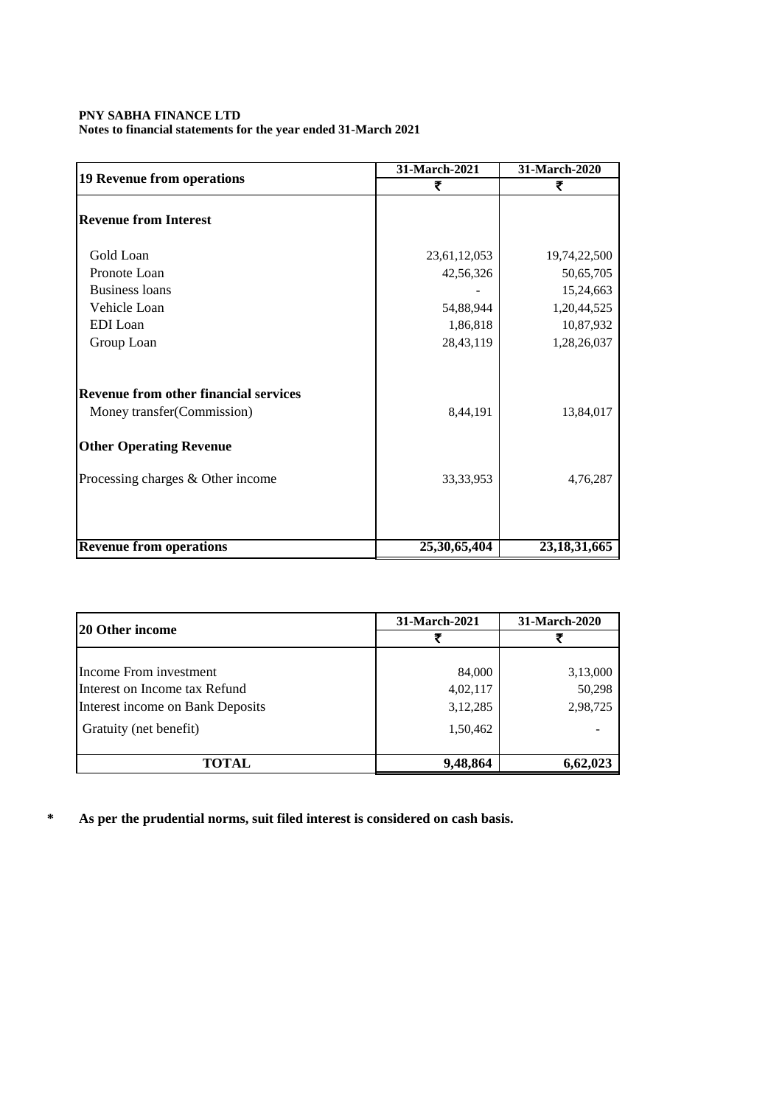### **PNY SABHA FINANCE LTD Notes to financial statements for the year ended 31-March 2021**

|                                              | 31-March-2021 | 31-March-2020   |  |
|----------------------------------------------|---------------|-----------------|--|
| <b>19 Revenue from operations</b>            | ₹             | ₹               |  |
| <b>Revenue from Interest</b>                 |               |                 |  |
| Gold Loan                                    | 23,61,12,053  | 19,74,22,500    |  |
| Pronote Loan                                 | 42,56,326     | 50,65,705       |  |
| <b>Business loans</b>                        |               | 15,24,663       |  |
| Vehicle Loan                                 | 54,88,944     | 1,20,44,525     |  |
| EDI Loan                                     | 1,86,818      | 10,87,932       |  |
| Group Loan                                   | 28,43,119     | 1,28,26,037     |  |
| <b>Revenue from other financial services</b> |               |                 |  |
| Money transfer (Commission)                  | 8,44,191      | 13,84,017       |  |
| <b>Other Operating Revenue</b>               |               |                 |  |
| Processing charges & Other income            | 33, 33, 953   | 4,76,287        |  |
|                                              |               |                 |  |
| <b>Revenue from operations</b>               | 25,30,65,404  | 23, 18, 31, 665 |  |

|                                  | 31-March-2021 | 31-March-2020 |  |
|----------------------------------|---------------|---------------|--|
| 120 Other income                 |               |               |  |
|                                  |               |               |  |
| Income From investment           | 84,000        | 3,13,000      |  |
| Interest on Income tax Refund    | 4,02,117      | 50,298        |  |
| Interest income on Bank Deposits | 3,12,285      | 2,98,725      |  |
| Gratuity (net benefit)           | 1,50,462      |               |  |
| TOTAL                            | 9,48,864      | 6,62,023      |  |

**\* As per the prudential norms, suit filed interest is considered on cash basis.**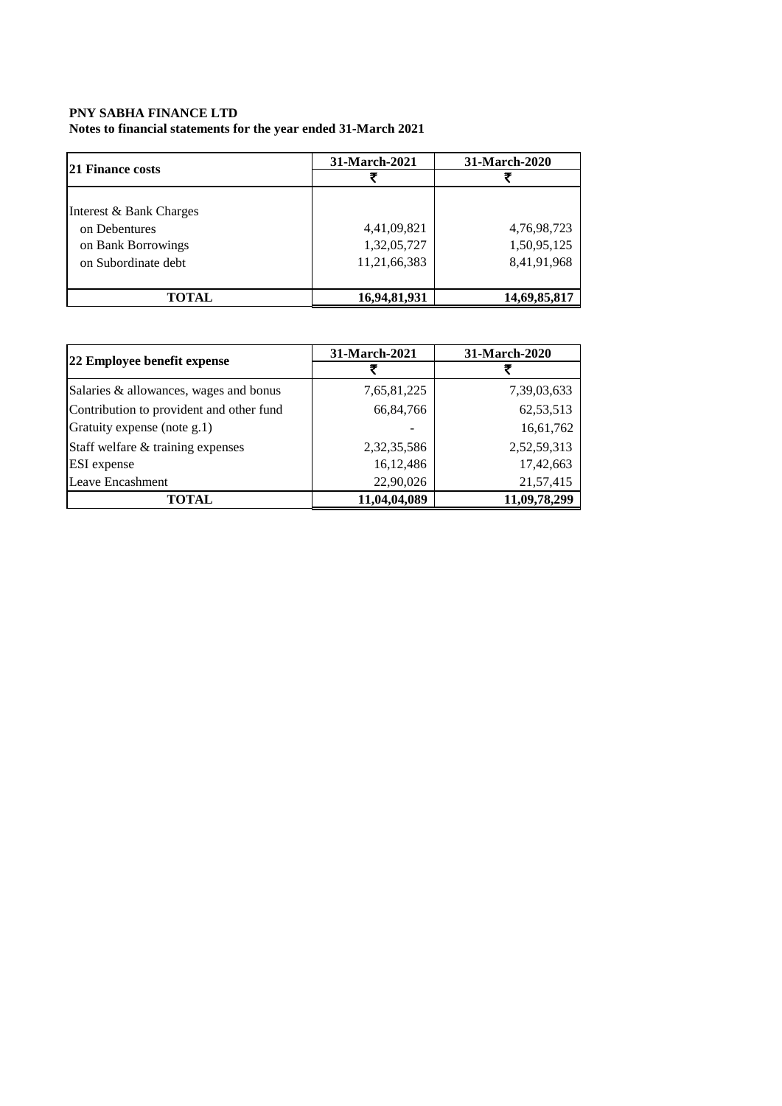**Notes to financial statements for the year ended 31-March 2021**

| <b>21 Finance costs</b> | 31-March-2021 | 31-March-2020 |  |
|-------------------------|---------------|---------------|--|
|                         |               |               |  |
|                         |               |               |  |
| Interest & Bank Charges |               |               |  |
| on Debentures           | 4,41,09,821   | 4,76,98,723   |  |
| on Bank Borrowings      | 1,32,05,727   | 1,50,95,125   |  |
| on Subordinate debt     | 11,21,66,383  | 8,41,91,968   |  |
|                         |               |               |  |
| TOTAL                   | 16,94,81,931  | 14,69,85,817  |  |

| 22 Employee benefit expense              | 31-March-2021  | 31-March-2020 |  |
|------------------------------------------|----------------|---------------|--|
|                                          |                |               |  |
| Salaries & allowances, wages and bonus   | 7,65,81,225    | 7,39,03,633   |  |
| Contribution to provident and other fund | 66, 84, 766    | 62,53,513     |  |
| Gratuity expense (note g.1)              |                | 16,61,762     |  |
| Staff welfare & training expenses        | 2, 32, 35, 586 | 2,52,59,313   |  |
| ESI expense                              | 16,12,486      | 17,42,663     |  |
| Leave Encashment                         | 22,90,026      | 21,57,415     |  |
| <b>TOTAL</b>                             | 11,04,04,089   | 11,09,78,299  |  |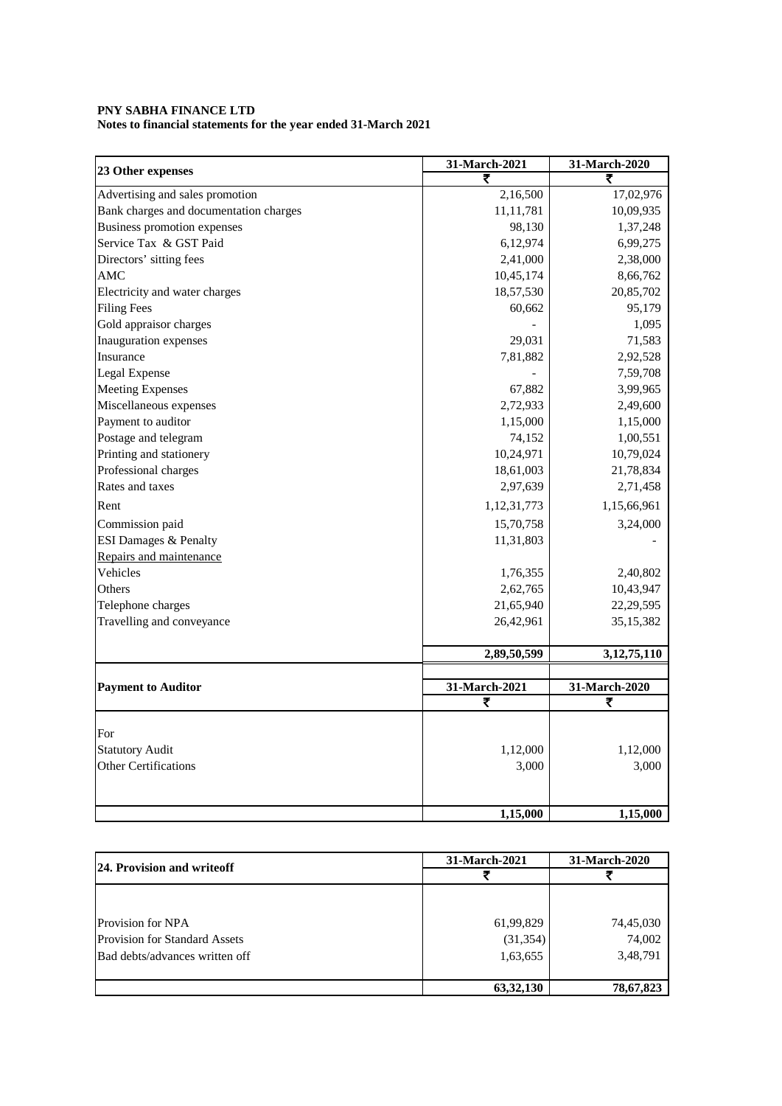**Notes to financial statements for the year ended 31-March 2021**

|                                        | 31-March-2021 | 31-March-2020  |
|----------------------------------------|---------------|----------------|
| 23 Other expenses                      |               | ₹              |
| Advertising and sales promotion        | 2,16,500      | 17,02,976      |
| Bank charges and documentation charges | 11, 11, 781   | 10,09,935      |
| <b>Business promotion expenses</b>     | 98,130        | 1,37,248       |
| Service Tax & GST Paid                 | 6,12,974      | 6,99,275       |
| Directors' sitting fees                | 2,41,000      | 2,38,000       |
| AMC                                    | 10,45,174     | 8,66,762       |
| Electricity and water charges          | 18,57,530     | 20,85,702      |
| <b>Filing Fees</b>                     | 60,662        | 95,179         |
| Gold appraisor charges                 |               | 1,095          |
| Inauguration expenses                  | 29,031        | 71,583         |
| Insurance                              | 7,81,882      | 2,92,528       |
| Legal Expense                          |               | 7,59,708       |
| <b>Meeting Expenses</b>                | 67,882        | 3,99,965       |
| Miscellaneous expenses                 | 2,72,933      | 2,49,600       |
| Payment to auditor                     | 1,15,000      | 1,15,000       |
| Postage and telegram                   | 74,152        | 1,00,551       |
| Printing and stationery                | 10,24,971     | 10,79,024      |
| Professional charges                   | 18,61,003     | 21,78,834      |
| Rates and taxes                        | 2,97,639      | 2,71,458       |
| Rent                                   | 1,12,31,773   | 1,15,66,961    |
| Commission paid                        | 15,70,758     | 3,24,000       |
| <b>ESI Damages &amp; Penalty</b>       | 11,31,803     |                |
| Repairs and maintenance                |               |                |
| Vehicles                               | 1,76,355      | 2,40,802       |
| Others                                 | 2,62,765      | 10,43,947      |
| Telephone charges                      | 21,65,940     | 22,29,595      |
| Travelling and conveyance              | 26,42,961     | 35, 15, 382    |
|                                        |               |                |
|                                        | 2,89,50,599   | 3, 12, 75, 110 |
| <b>Payment to Auditor</b>              | 31-March-2021 | 31-March-2020  |
|                                        | ₹             | ₹              |
|                                        |               |                |
| For                                    |               |                |
| <b>Statutory Audit</b>                 | 1,12,000      | 1,12,000       |
| <b>Other Certifications</b>            | 3,000         | 3,000          |
|                                        |               |                |
|                                        | 1,15,000      | 1,15,000       |

| <b>24. Provision and writeoff</b>    | 31-March-2021 | 31-March-2020 |  |
|--------------------------------------|---------------|---------------|--|
|                                      |               |               |  |
|                                      |               |               |  |
| <b>Provision for NPA</b>             | 61,99,829     | 74,45,030     |  |
| <b>Provision for Standard Assets</b> | (31, 354)     | 74,002        |  |
| Bad debts/advances written off       | 1,63,655      | 3,48,791      |  |
|                                      | 63, 32, 130   | 78,67,823     |  |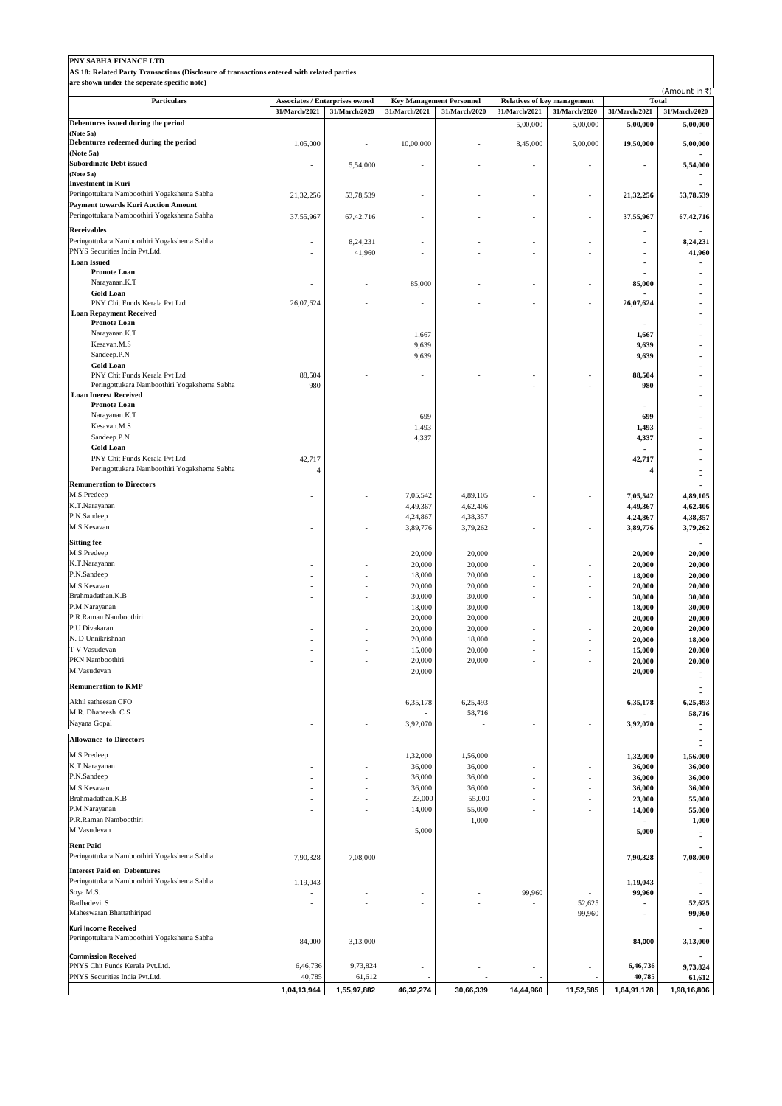| PNY SABHA FINANCE LTD                                                                                                                     |                |                                                 |                      |                                                  |                          |                                                     |                      |                               |
|-------------------------------------------------------------------------------------------------------------------------------------------|----------------|-------------------------------------------------|----------------------|--------------------------------------------------|--------------------------|-----------------------------------------------------|----------------------|-------------------------------|
| AS 18: Related Party Transactions (Disclosure of transactions entered with related parties<br>are shown under the seperate specific note) |                |                                                 |                      |                                                  |                          |                                                     |                      |                               |
|                                                                                                                                           |                |                                                 |                      |                                                  |                          |                                                     | (Amount in ₹)        |                               |
| Particulars                                                                                                                               | 31/March/2021  | Associates / Enterprises owned<br>31/March/2020 | 31/March/2021        | <b>Key Management Personnel</b><br>31/March/2020 | 31/March/2021            | <b>Relatives of key management</b><br>31/March/2020 | 31/March/2021        | <b>Total</b><br>31/March/2020 |
| Debentures issued during the period                                                                                                       |                |                                                 |                      |                                                  | 5,00,000                 | 5,00,000                                            | 5,00,000             | 5,00,000                      |
| (Note 5a)                                                                                                                                 |                |                                                 |                      |                                                  |                          |                                                     |                      |                               |
| Debentures redeemed during the period<br>(Note 5a)                                                                                        | 1,05,000       | ä,                                              | 10,00,000            |                                                  | 8,45,000                 | 5,00,000                                            | 19,50,000            | 5,00,000                      |
| <b>Subordinate Debt issued</b>                                                                                                            |                | 5,54,000                                        |                      |                                                  |                          |                                                     |                      | 5,54,000                      |
| (Note 5a)                                                                                                                                 |                |                                                 |                      |                                                  |                          |                                                     |                      |                               |
| <b>Investment in Kuri</b><br>Peringottukara Namboothiri Yogakshema Sabha                                                                  | 21,32,256      | 53,78,539                                       |                      | ä,                                               | $\overline{\phantom{a}}$ | ٠                                                   | 21,32,256            | 53,78,539                     |
| <b>Payment towards Kuri Auction Amount</b>                                                                                                |                |                                                 |                      |                                                  |                          |                                                     |                      |                               |
| Peringottukara Namboothiri Yogakshema Sabha                                                                                               | 37,55,967      | 67,42,716                                       |                      | ä,                                               |                          | ٠                                                   | 37,55,967            | 67,42,716                     |
| <b>Receivables</b>                                                                                                                        |                |                                                 |                      |                                                  |                          |                                                     |                      |                               |
| Peringottukara Namboothiri Yogakshema Sabha<br>PNYS Securities India Pvt.Ltd.                                                             |                | 8,24,231                                        |                      |                                                  |                          |                                                     |                      | 8,24,231                      |
| <b>Loan Issued</b>                                                                                                                        |                | 41,960                                          |                      |                                                  |                          |                                                     |                      | 41,960                        |
| <b>Pronote Loan</b>                                                                                                                       |                |                                                 |                      |                                                  |                          |                                                     |                      |                               |
| Narayanan.K.T                                                                                                                             |                | ä,                                              | 85,000               | ä,                                               |                          | ٠                                                   | 85,000               |                               |
| <b>Gold Loan</b><br>PNY Chit Funds Kerala Pvt Ltd                                                                                         | 26,07,624      |                                                 |                      | ä,                                               |                          | ٠                                                   | 26,07,624            |                               |
| <b>Loan Repayment Received</b>                                                                                                            |                |                                                 |                      |                                                  |                          |                                                     |                      |                               |
| <b>Pronote Loan</b>                                                                                                                       |                |                                                 |                      |                                                  |                          |                                                     |                      |                               |
| Narayanan.K.T<br>Kesavan.M.S                                                                                                              |                |                                                 | 1,667<br>9,639       |                                                  |                          |                                                     | 1,667<br>9,639       |                               |
| Sandeep.P.N                                                                                                                               |                |                                                 | 9,639                |                                                  |                          |                                                     | 9,639                |                               |
| <b>Gold Loan</b>                                                                                                                          |                |                                                 |                      |                                                  |                          |                                                     |                      |                               |
| PNY Chit Funds Kerala Pvt Ltd                                                                                                             | 88,504         |                                                 |                      |                                                  |                          |                                                     | 88,504               |                               |
| Peringottukara Namboothiri Yogakshema Sabha<br><b>Loan Inerest Received</b>                                                               | 980            |                                                 |                      |                                                  |                          |                                                     | 980                  |                               |
| <b>Pronote Loan</b>                                                                                                                       |                |                                                 |                      |                                                  |                          |                                                     |                      |                               |
| Narayanan.K.T                                                                                                                             |                |                                                 | 699                  |                                                  |                          |                                                     | 699                  |                               |
| Kesavan.M.S<br>Sandeep.P.N                                                                                                                |                |                                                 | 1,493                |                                                  |                          |                                                     | 1,493                |                               |
| <b>Gold Loan</b>                                                                                                                          |                |                                                 | 4,337                |                                                  |                          |                                                     | 4,337                |                               |
| PNY Chit Funds Kerala Pvt Ltd                                                                                                             | 42,717         |                                                 |                      |                                                  |                          |                                                     | 42,717               |                               |
| Peringottukara Namboothiri Yogakshema Sabha                                                                                               | $\overline{4}$ |                                                 |                      |                                                  |                          |                                                     | 4                    |                               |
| <b>Remuneration to Directors</b>                                                                                                          |                |                                                 |                      |                                                  |                          |                                                     |                      |                               |
| M.S.Predeep                                                                                                                               |                |                                                 | 7,05,542             | 4,89,105                                         |                          |                                                     | 7,05,542             | 4,89,105                      |
| K.T.Narayanan<br>P.N.Sandeep                                                                                                              |                |                                                 | 4,49,367             | 4,62,406<br>4,38,357                             |                          |                                                     | 4,49,367             | 4,62,406                      |
| M.S.Kesavan                                                                                                                               |                | ä,                                              | 4,24,867<br>3,89,776 | 3,79,262                                         | ÷,                       |                                                     | 4,24,867<br>3,89,776 | 4,38,357<br>3,79,262          |
| <b>Sitting fee</b>                                                                                                                        |                |                                                 |                      |                                                  |                          |                                                     |                      |                               |
| M.S.Predeep                                                                                                                               |                |                                                 | 20,000               | 20,000                                           |                          |                                                     | 20,000               | 20,000                        |
| K.T.Narayanan                                                                                                                             |                |                                                 | 20,000               | 20,000                                           |                          |                                                     | 20,000               | 20,000                        |
| P.N.Sandeep                                                                                                                               |                |                                                 | 18,000               | 20,000                                           |                          |                                                     | 18,000               | 20,000                        |
| M.S.Kesavan<br>Brahmadathan.K.B                                                                                                           |                |                                                 | 20,000<br>30,000     | 20,000<br>30,000                                 |                          |                                                     | 20,000               | 20,000                        |
| P.M.Narayanan                                                                                                                             |                |                                                 | 18,000               | 30,000                                           |                          |                                                     | 30,000<br>18,000     | 30,000<br>30,000              |
| P.R.Raman Namboothiri                                                                                                                     |                |                                                 | 20,000               | 20,000                                           |                          |                                                     | 20,000               | 20,000                        |
| P.U Divakaran                                                                                                                             |                |                                                 | 20,000               | 20,000                                           |                          |                                                     | 20,000               | 20,000                        |
| N. D Unnikrishnan<br>T V Vasudevan                                                                                                        |                |                                                 | 20,000               | 18,000                                           |                          |                                                     | 20,000               | 18,000                        |
| PKN Namboothiri                                                                                                                           |                |                                                 | 15,000<br>20,000     | 20,000<br>20,000                                 |                          |                                                     | 15,000<br>20,000     | 20,000<br>20,000              |
| M.Vasudevan                                                                                                                               |                |                                                 | 20,000               |                                                  |                          |                                                     | 20,000               |                               |
| <b>Remuneration to KMP</b>                                                                                                                |                |                                                 |                      |                                                  |                          |                                                     |                      |                               |
| Akhil satheesan CFO                                                                                                                       |                | ä,                                              | 6,35,178             | 6,25,493                                         | ÷,                       |                                                     | 6,35,178             | 6,25,493                      |
| M.R. Dhaneesh C S                                                                                                                         |                | ä,                                              |                      | 58,716                                           | ä,                       | ä,                                                  |                      | 58,716                        |
| Nayana Gopal                                                                                                                              |                |                                                 | 3,92,070             | ÷.                                               |                          |                                                     | 3,92,070             | $\blacksquare$<br>i,          |
| <b>Allowance to Directors</b>                                                                                                             |                |                                                 |                      |                                                  |                          |                                                     |                      | $\blacksquare$                |
| M.S.Predeep                                                                                                                               |                | ÷,                                              | 1,32,000             | 1,56,000                                         |                          | ×,                                                  | 1,32,000             | 1,56,000                      |
| K.T.Narayanan                                                                                                                             |                | ä,                                              | 36,000               | 36,000                                           | ä,                       | ÷,                                                  | 36,000               | 36,000                        |
| P.N.Sandeep                                                                                                                               |                |                                                 | 36,000               | 36,000                                           | ä,                       | ä,                                                  | 36,000               | 36,000                        |
| M.S.Kesavan                                                                                                                               |                | ä,                                              | 36,000               | 36,000                                           | ä,                       | ä,                                                  | 36,000               | 36,000                        |
| Brahmadathan.K.B<br>P.M.Narayanan                                                                                                         |                | ÷,<br>÷                                         | 23,000<br>14,000     | 55,000<br>55,000                                 | ä,                       | ×,<br>ä,                                            | 23,000<br>14,000     | 55,000<br>55,000              |
| P.R.Raman Namboothiri                                                                                                                     |                |                                                 |                      | 1,000                                            | ÷,                       |                                                     |                      | 1,000                         |
| M.Vasudevan                                                                                                                               |                |                                                 | 5,000                |                                                  | ÷                        | ×,                                                  | 5,000                | ÷.                            |
| <b>Rent Paid</b>                                                                                                                          |                |                                                 |                      |                                                  |                          |                                                     |                      |                               |
| Peringottukara Namboothiri Yogakshema Sabha                                                                                               | 7,90,328       | 7,08,000                                        | ÷,                   | ٠                                                | ٠                        | $\sim$                                              | 7,90,328             | 7,08,000                      |
| <b>Interest Paid on Debentures</b>                                                                                                        |                |                                                 |                      |                                                  |                          |                                                     |                      |                               |
| Peringottukara Namboothiri Yogakshema Sabha                                                                                               | 1,19,043       |                                                 |                      |                                                  |                          | ÷,                                                  | 1,19,043             |                               |
| Soya M.S.<br>Radhadevi. S                                                                                                                 |                |                                                 | ä,                   |                                                  | 99,960                   | 52,625                                              | 99,960               | 52,625                        |
| Maheswaran Bhattathiripad                                                                                                                 |                | $\overline{\phantom{a}}$                        |                      | ٠                                                |                          | 99,960                                              | $\blacksquare$       | 99,960                        |
| Kuri Income Received                                                                                                                      |                |                                                 |                      |                                                  |                          |                                                     |                      |                               |
| Peringottukara Namboothiri Yogakshema Sabha                                                                                               | 84,000         | 3,13,000                                        |                      | ä,                                               |                          | ÷,                                                  | 84,000               | 3,13,000                      |
| <b>Commission Received</b>                                                                                                                |                |                                                 |                      |                                                  |                          |                                                     |                      |                               |
| PNYS Chit Funds Kerala Pvt.Ltd.                                                                                                           | 6,46,736       | 9,73,824                                        |                      |                                                  |                          | ÷,                                                  | 6,46,736             | 9,73,824                      |
| PNYS Securities India Pvt.Ltd.                                                                                                            | 40,785         | 61,612                                          |                      |                                                  |                          |                                                     | 40,785               | 61,612                        |
|                                                                                                                                           | 1,04,13,944    | 1,55,97,882                                     | 46,32,274            | 30,66,339                                        | 14,44,960                | 11,52,585                                           | 1,64,91,178          | 1,98,16,806                   |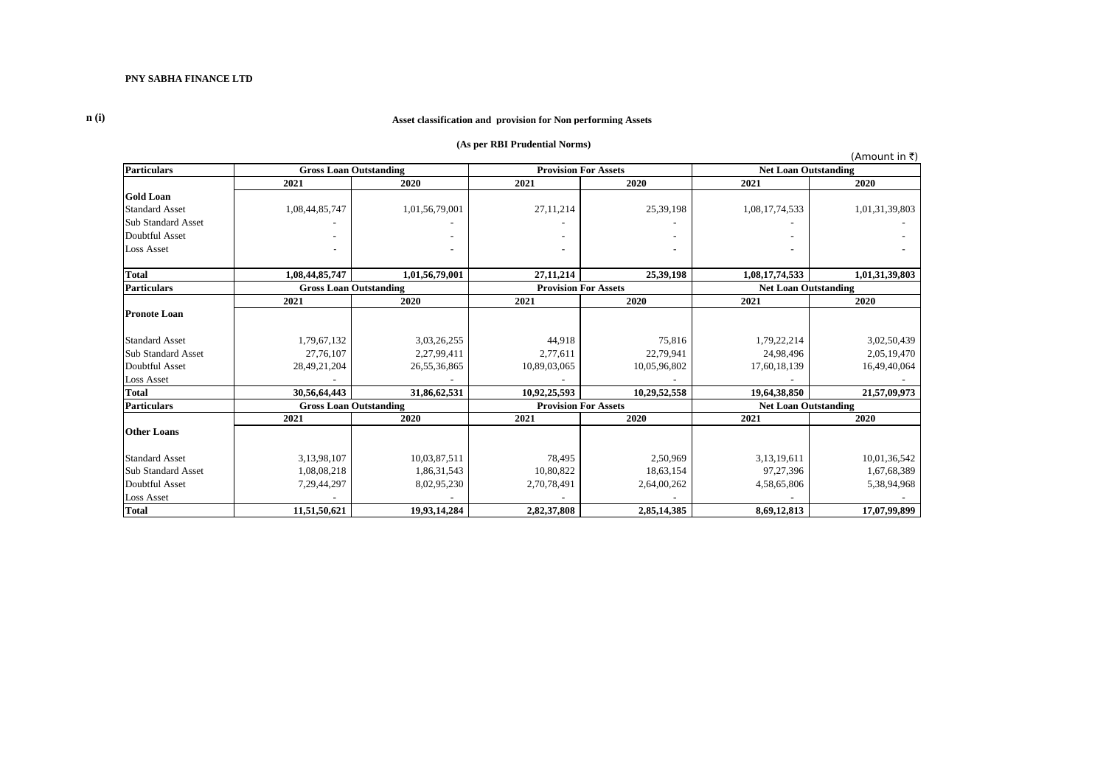**n (i)**

#### **Asset classification and provision for Non performing Assets**

#### **(As per RBI Prudential Norms)**

(Amount in  $\bar{z}$ ) **Particulars 2021 2020 2021 2020 2021 2020 Gold Loan**<br>Standard Asset Standard Asset 1,08,44,85,747 1,01,56,79,001 27,11,214 25,39,198 1,08,17,74,533 1,01,31,39,803 Sub Standard Asset - - - - - - Doubtful Asset - - - - - - Loss Asset  $\sim$  -  $\sim$  -  $\sim$  -  $\sim$  -  $\sim$  -  $\sim$  -  $\sim$  -  $\sim$  -  $\sim$  -  $\sim$  -  $\sim$  -  $\sim$  -  $\sim$  -**Total 1,08,44,85,747 1,01,56,79,001 27,11,214 25,39,198 1,08,17,74,533 1,01,31,39,803 Particulars 2021 2020 2021 2020 2021 2020 Pronote Loan** Standard Asset 1,79,67,132 3,03,26,255 44,918 44,918 75,816 1,79,22,214 3,02,50,439 Sub Standard Asset 27,76,107 2,27,99,411 2,77,611 22,79,941 22,79,941 24,98,496 2,05,19,470 Doubtful Asset 28,49,21,204 26,55,36,865 10,89,03,065 10,05,96,802 17,60,18,139 16,49,40,064 Loss Asset  $\overline{\phantom{a}}$  -  $\overline{\phantom{a}}$  -  $\overline{\phantom{a}}$  -  $\overline{\phantom{a}}$  -  $\overline{\phantom{a}}$  -  $\overline{\phantom{a}}$  -  $\overline{\phantom{a}}$  -  $\overline{\phantom{a}}$  -  $\overline{\phantom{a}}$  -  $\overline{\phantom{a}}$  -  $\overline{\phantom{a}}$  -  $\overline{\phantom{a}}$  -  $\overline{\phantom{a}}$  -  $\overline{\phantom{a}}$  -  $\overline{\phantom{a}}$  - **Total 30,56,64,443 31,86,62,531 10,92,25,593 10,29,52,558 19,64,38,850 21,57,09,973 Particulars 2021 2020 2021 2020 2021 2020 Other Loans** Standard Asset 1 3,13,98,107 | 10,03,87,511 | 10,03,87,511 | 3,13,19,611 | 10,01,36,542 Sub Standard Asset 1,08,08,218 1,08,08,218 1,86,31,543 10,80,822 18,63,154 97,27,396 1,67,68,389 Doubtful Asset 7,29,44,297 8,02,95,230 2,70,78,491 2,64,00,262 4,58,65,806 5,38,94,968 Loss Asset  $\overline{\phantom{a}}$  -  $\overline{\phantom{a}}$  -  $\overline{\phantom{a}}$  -  $\overline{\phantom{a}}$  -  $\overline{\phantom{a}}$  -  $\overline{\phantom{a}}$  -  $\overline{\phantom{a}}$  -  $\overline{\phantom{a}}$  -  $\overline{\phantom{a}}$  -  $\overline{\phantom{a}}$  -  $\overline{\phantom{a}}$  -  $\overline{\phantom{a}}$  -  $\overline{\phantom{a}}$  -  $\overline{\phantom{a}}$  -  $\overline{\phantom{a}}$  - **Total 11,51,50,621 19,93,14,284 2,82,37,808 2,85,14,385 8,69,12,813 17,07,99,899 Net Loan Outstanding Gross Loan Outstanding Gross Loan Outstanding**<br>2021 2020 **Gross Loan Outstanding Provision For Assets Provision For Assets Provision For Assets Net Loan Outstanding Net Loan Outstanding**<br>2021 **2020**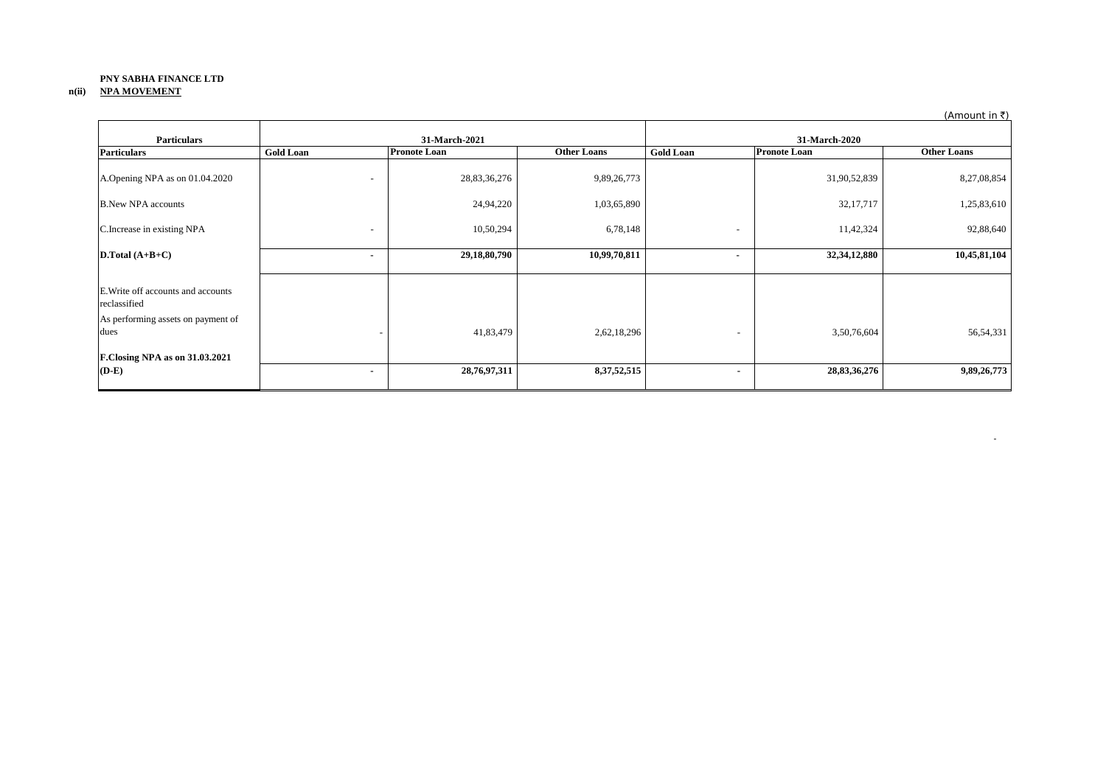### **PNY SABHA FINANCE LTD n(ii) NPA MOVEMENT**

| <b>Particulars</b>                                                                       | 31-March-2021                |                     | 31-March-2020      |                          |                     |                    |
|------------------------------------------------------------------------------------------|------------------------------|---------------------|--------------------|--------------------------|---------------------|--------------------|
| <b>Particulars</b>                                                                       | <b>Gold Loan</b>             | <b>Pronote Loan</b> | <b>Other Loans</b> | <b>Gold Loan</b>         | <b>Pronote Loan</b> | <b>Other Loans</b> |
| A.Opening NPA as on 01.04.2020                                                           | $\overline{\phantom{a}}$     | 28,83,36,276        | 9,89,26,773        |                          | 31,90,52,839        | 8,27,08,854        |
| <b>B.New NPA accounts</b>                                                                |                              | 24,94,220           | 1,03,65,890        |                          | 32,17,717           | 1,25,83,610        |
| C.Increase in existing NPA                                                               | $\qquad \qquad \blacksquare$ | 10,50,294           | 6,78,148           | $\overline{\phantom{0}}$ | 11,42,324           | 92,88,640          |
| D.Total $(A+B+C)$                                                                        | ٠                            | 29,18,80,790        | 10,99,70,811       | $\overline{\phantom{a}}$ | 32,34,12,880        | 10,45,81,104       |
| E. Write off accounts and accounts<br>reclassified<br>As performing assets on payment of |                              |                     |                    |                          |                     |                    |
| dues                                                                                     |                              | 41,83,479           | 2,62,18,296        | $\overline{\phantom{a}}$ | 3,50,76,604         | 56, 54, 331        |
| F.Closing NPA as on 31.03.2021<br>$(D-E)$                                                | ٠                            | 28,76,97,311        | 8, 37, 52, 515     | ٠                        | 28, 83, 36, 276     | 9,89,26,773        |

(Amount in  $\bar{z}$ )

**- All and All and All and All and All**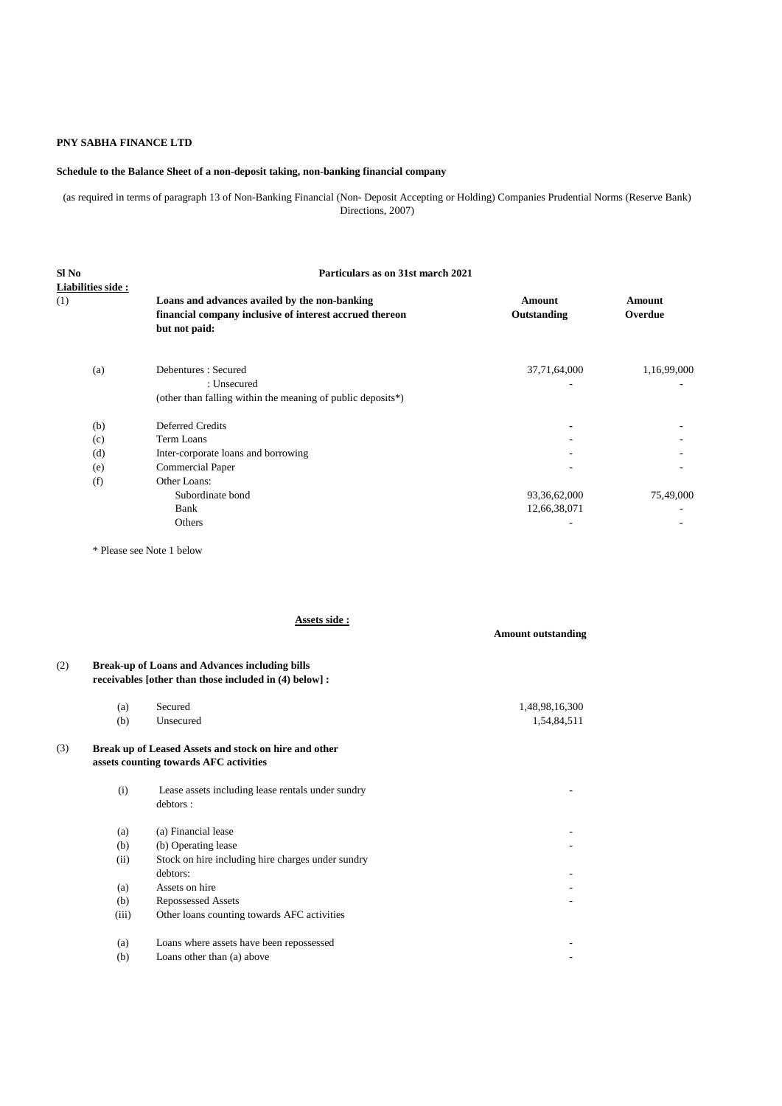### **Schedule to the Balance Sheet of a non-deposit taking, non-banking financial company**

(as required in terms of paragraph 13 of Non-Banking Financial (Non- Deposit Accepting or Holding) Companies Prudential Norms (Reserve Bank) Directions, 2007)

| Sl No             |                                                             | Particulars as on 31st march 2021 |               |  |  |  |  |
|-------------------|-------------------------------------------------------------|-----------------------------------|---------------|--|--|--|--|
| Liabilities side: |                                                             |                                   |               |  |  |  |  |
| (1)               | Loans and advances availed by the non-banking               | <b>Amount</b>                     | <b>Amount</b> |  |  |  |  |
|                   | financial company inclusive of interest accrued thereon     | Outstanding                       | Overdue       |  |  |  |  |
|                   | but not paid:                                               |                                   |               |  |  |  |  |
| (a)               | Debentures: Secured                                         | 37,71,64,000                      | 1,16,99,000   |  |  |  |  |
|                   | : Unsecured                                                 |                                   |               |  |  |  |  |
|                   | (other than falling within the meaning of public deposits*) |                                   |               |  |  |  |  |
| (b)               | Deferred Credits                                            |                                   |               |  |  |  |  |
| (c)               | Term Loans                                                  |                                   |               |  |  |  |  |
| (d)               | Inter-corporate loans and borrowing                         |                                   |               |  |  |  |  |
| (e)               | <b>Commercial Paper</b>                                     | $\overline{\phantom{a}}$          |               |  |  |  |  |
| (f)               | Other Loans:                                                |                                   |               |  |  |  |  |
|                   | Subordinate bond                                            | 93,36,62,000                      | 75,49,000     |  |  |  |  |
|                   | Bank                                                        | 12,66,38,071                      |               |  |  |  |  |
|                   | Others                                                      | ٠                                 |               |  |  |  |  |
|                   |                                                             |                                   |               |  |  |  |  |

\* Please see Note 1 below

(b) Loans other than (a) above

**Assets side :**

# **Amount outstanding**  (2) **Break-up of Loans and Advances including bills receivables [other than those included in (4) below] :** (a) Secured 1,48,98,16,300 (b) Unsecured 1,54,84,511 (3) **Break up of Leased Assets and stock on hire and other assets counting towards AFC activities** (i) Lease assets including lease rentals under sundry debtors :  $(a)$  (a) Financial lease  $(b)$  (b) Operating lease (ii) Stock on hire including hire charges under sundry debtors: the contract of the contract of the contract of the contract of the contract of the contract of the contract of the contract of the contract of the contract of the contract of the contract of the contract of the c (a) Assets on hire (b) Repossessed Assets (iii) Other loans counting towards AFC activities (a) Loans where assets have been repossessed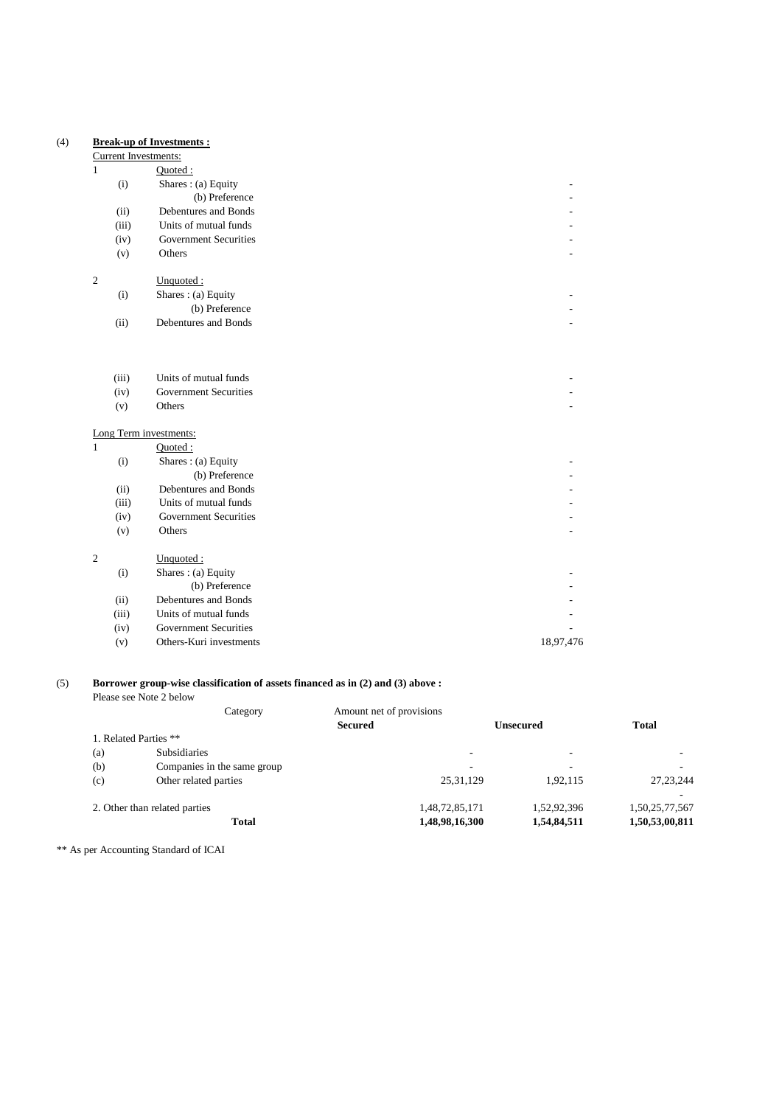### (4) **Break-up of Investments :**

### Current Investments:

| 1 |       | Quoted:                                       |           |
|---|-------|-----------------------------------------------|-----------|
|   | (i)   | Shares: (a) Equity                            |           |
|   |       | (b) Preference                                |           |
|   | (ii)  | Debentures and Bonds                          |           |
|   | (iii) | Units of mutual funds                         |           |
|   | (iv)  | <b>Government Securities</b>                  |           |
|   | (v)   | Others                                        |           |
|   |       |                                               |           |
| 2 |       | Unquoted:                                     |           |
|   | (i)   | Shares: (a) Equity                            |           |
|   |       | (b) Preference                                |           |
|   | (ii)  | Debentures and Bonds                          |           |
|   |       |                                               |           |
|   |       |                                               |           |
|   | (iii) | Units of mutual funds                         |           |
|   | (iv)  | <b>Government Securities</b>                  |           |
|   | (v)   | Others                                        |           |
|   |       |                                               |           |
| 1 |       | Long Term investments:                        |           |
|   |       | Quoted:                                       |           |
|   | (i)   | Shares: (a) Equity                            |           |
|   |       | (b) Preference                                |           |
|   | (ii)  | Debentures and Bonds<br>Units of mutual funds |           |
|   | (iii) | <b>Government Securities</b>                  |           |
|   | (iv)  |                                               |           |
|   | (v)   | Others                                        |           |
| 2 |       | Unquoted:                                     |           |
|   | (i)   | Shares: (a) Equity                            |           |
|   |       | (b) Preference                                |           |
|   | (ii)  | Debentures and Bonds                          |           |
|   | (iii) | Units of mutual funds                         |           |
|   | (iv)  | <b>Government Securities</b>                  |           |
|   | (v)   | Others-Kuri investments                       | 18,97,476 |
|   |       |                                               |           |

### (5) **Borrower group-wise classification of assets financed as in (2) and (3) above :**

Please see Note 2 below Category Amount net of provisions **Secured Unsecured Total** 1. Related Parties \*\* (a) Subsidiaries - - - (b) Companies in the same group  $\overline{a}$  -  $\overline{b}$  -  $\overline{c}$  -  $\overline{c}$  -  $\overline{c}$ (c) Other related parties 25,31,129 1,92,115 27,23,244 - 1990 - 1990 - 1990 - 1991 - 1992<br>- 1992 - 1992 - 1992 - 1992 - 1992 - 1992 - 1992 - 1992 - 1992 - 1992 - 1992 - 1992 - 1992 - 1992 - 1992 - 19 2. Other than related parties 1,48,72,85,171 1,52,92,396 1,50,25,77,567 Total 1,48,98,16,300 1,54,84,511 1,50,53,00,811

\*\* As per Accounting Standard of ICAI